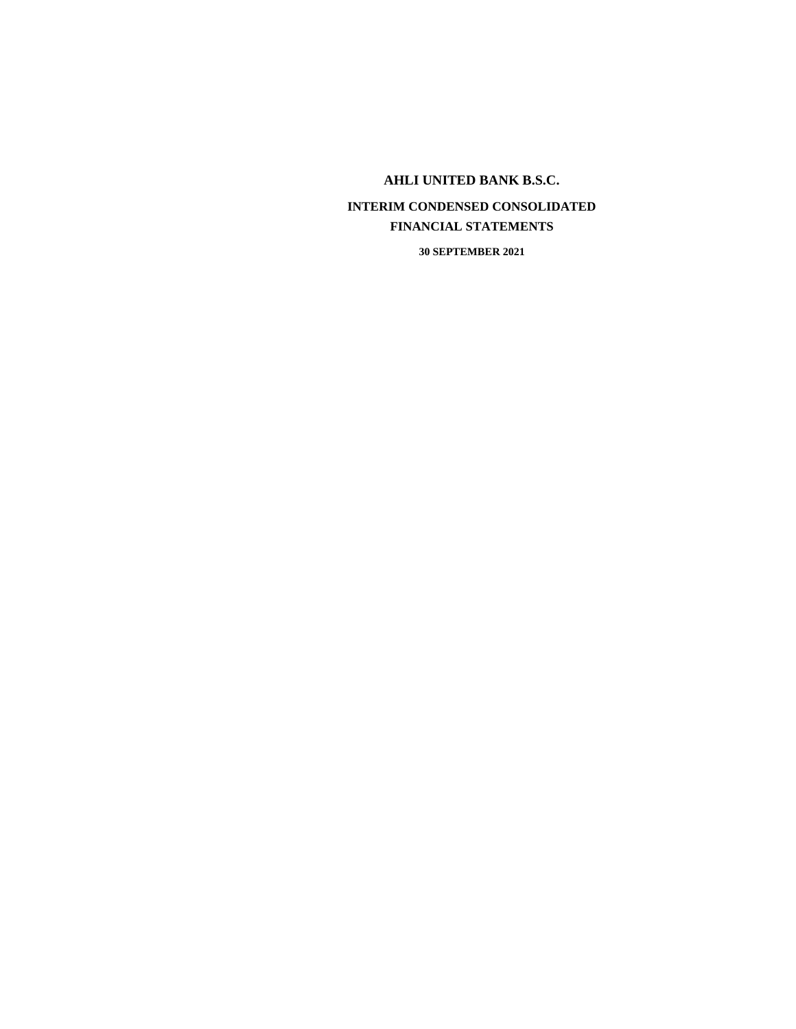# **INTERIM CONDENSED CONSOLIDATED FINANCIAL STATEMENTS**

**30 SEPTEMBER 2021**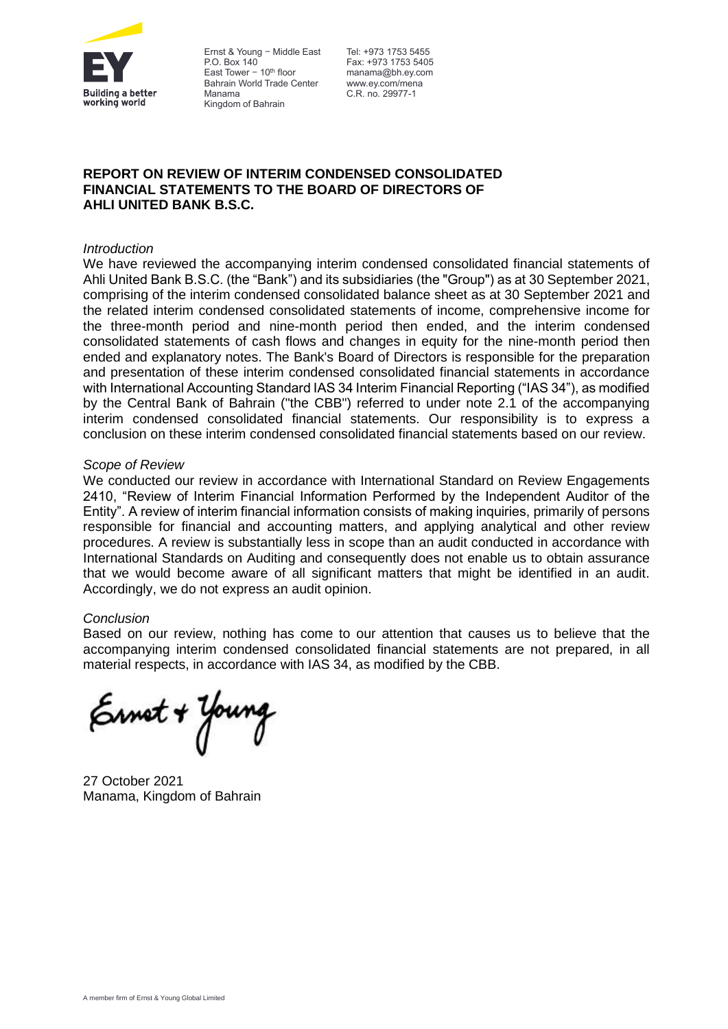

Ernst & Young — Middle East Tel: +973 1753 5455 P.O. Box 140 East Tower  $-10^{th}$  floor Bahrain World Trade Center Manama Kingdom of Bahrain

Fax: +973 1753 5405 manama@bh.ey.com www.ey.com/mena C.R. no. 29977-1

## **REPORT ON REVIEW OF INTERIM CONDENSED CONSOLIDATED FINANCIAL STATEMENTS TO THE BOARD OF DIRECTORS OF AHLI UNITED BANK B.S.C.**

## *Introduction*

We have reviewed the accompanying interim condensed consolidated financial statements of Ahli United Bank B.S.C. (the "Bank") and its subsidiaries (the "Group") as at 30 September 2021, comprising of the interim condensed consolidated balance sheet as at 30 September 2021 and the related interim condensed consolidated statements of income, comprehensive income for the three-month period and nine-month period then ended, and the interim condensed consolidated statements of cash flows and changes in equity for the nine-month period then ended and explanatory notes. The Bank's Board of Directors is responsible for the preparation and presentation of these interim condensed consolidated financial statements in accordance with International Accounting Standard IAS 34 Interim Financial Reporting ("IAS 34"), as modified by the Central Bank of Bahrain ("the CBB") referred to under note 2.1 of the accompanying interim condensed consolidated financial statements. Our responsibility is to express a conclusion on these interim condensed consolidated financial statements based on our review.

#### *Scope of Review*

We conducted our review in accordance with International Standard on Review Engagements 2410, "Review of Interim Financial Information Performed by the Independent Auditor of the Entity". A review of interim financial information consists of making inquiries, primarily of persons responsible for financial and accounting matters, and applying analytical and other review procedures. A review is substantially less in scope than an audit conducted in accordance with International Standards on Auditing and consequently does not enable us to obtain assurance that we would become aware of all significant matters that might be identified in an audit. Accordingly, we do not express an audit opinion.

#### *Conclusion*

Based on our review, nothing has come to our attention that causes us to believe that the accompanying interim condensed consolidated financial statements are not prepared, in all material respects, in accordance with IAS 34, as modified by the CBB.

Ernot + Young

27 October 2021 Manama, Kingdom of Bahrain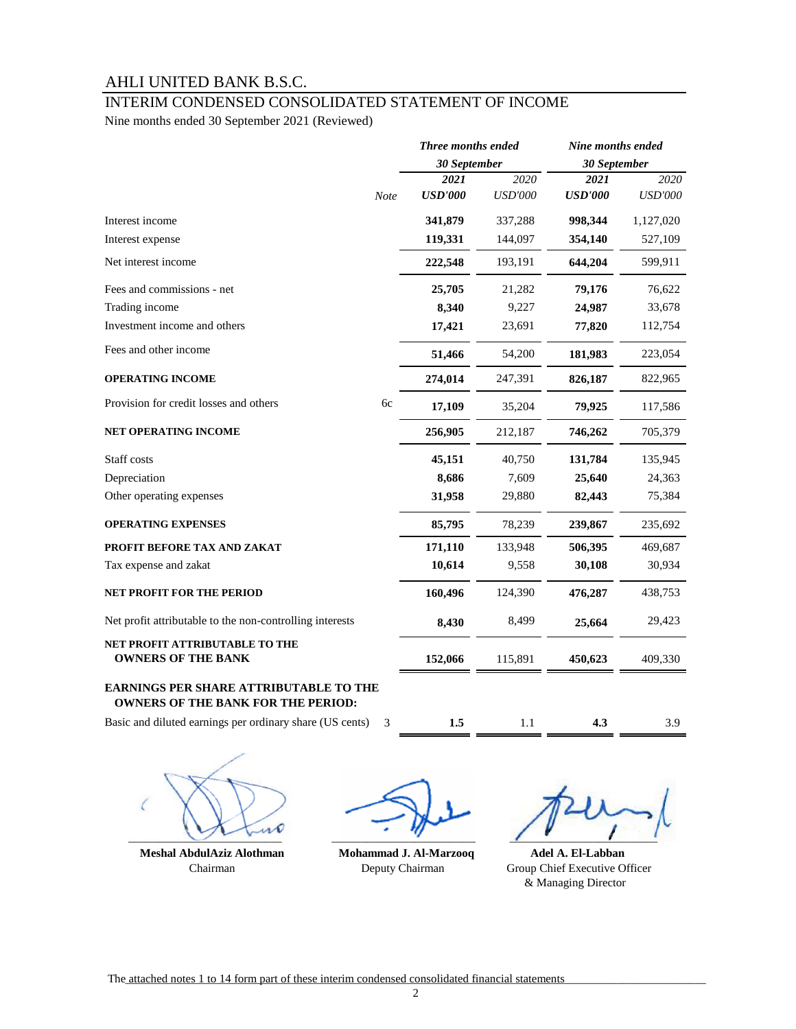## [INTERIM CONDENSED CONSOLIDATED STATEMENT OF INCOME](file:////aub.net/data/Departments/Group Finance/3.External Reporting/Financial Statements/yahya aljabal/AppData/AppData/Local/Microsoft/Windows/Temporary Internet Files/Content.Outlook/AppData/Local/Microsoft/Windows/Local Settings/Workarea/WINDOWS/Temp/notesE1EF34/AUB Group FS.xls#CONSOLIDATED_INCOME_STATEMENT)

Nine months ended 30 September 2021 (Reviewed)

|                                                                                            |                | Three months ended | Nine months ended |                |
|--------------------------------------------------------------------------------------------|----------------|--------------------|-------------------|----------------|
|                                                                                            |                | 30 September       | 30 September      |                |
|                                                                                            | 2021           | 2020               | 2021              | 2020           |
| Note                                                                                       | <b>USD'000</b> | <b>USD'000</b>     | <b>USD'000</b>    | <b>USD'000</b> |
| Interest income                                                                            | 341,879        | 337,288            | 998,344           | 1,127,020      |
| Interest expense                                                                           | 119,331        | 144,097            | 354,140           | 527,109        |
| Net interest income                                                                        | 222,548        | 193,191            | 644,204           | 599,911        |
| Fees and commissions - net                                                                 | 25,705         | 21,282             | 79,176            | 76,622         |
| Trading income                                                                             | 8,340          | 9,227              | 24,987            | 33,678         |
| Investment income and others                                                               | 17,421         | 23,691             | 77,820            | 112,754        |
| Fees and other income                                                                      | 51,466         | 54,200             | 181,983           | 223,054        |
| <b>OPERATING INCOME</b>                                                                    | 274,014        | 247,391            | 826,187           | 822,965        |
| Provision for credit losses and others<br>6c                                               | 17,109         | 35,204             | 79,925            | 117,586        |
| NET OPERATING INCOME                                                                       | 256,905        | 212,187            | 746,262           | 705,379        |
| Staff costs                                                                                | 45,151         | 40,750             | 131,784           | 135,945        |
| Depreciation                                                                               | 8,686          | 7,609              | 25,640            | 24,363         |
| Other operating expenses                                                                   | 31,958         | 29,880             | 82,443            | 75,384         |
| <b>OPERATING EXPENSES</b>                                                                  | 85,795         | 78,239             | 239,867           | 235,692        |
| PROFIT BEFORE TAX AND ZAKAT                                                                | 171,110        | 133,948            | 506,395           | 469,687        |
| Tax expense and zakat                                                                      | 10,614         | 9,558              | 30,108            | 30,934         |
| <b>NET PROFIT FOR THE PERIOD</b>                                                           | 160,496        | 124,390            | 476,287           | 438,753        |
| Net profit attributable to the non-controlling interests                                   | 8,430          | 8,499              | 25,664            | 29,423         |
| NET PROFIT ATTRIBUTABLE TO THE<br><b>OWNERS OF THE BANK</b>                                | 152,066        | 115,891            | 450,623           | 409,330        |
| <b>EARNINGS PER SHARE ATTRIBUTABLE TO THE</b><br><b>OWNERS OF THE BANK FOR THE PERIOD:</b> |                |                    |                   |                |

Basic and diluted earnings per ordinary share (US cents)

3 **1.5** 1.1 **4.3** 3.9

 $\overline{\phantom{a}}$ 

 **Meshal AbdulAziz Alothman Mohammad J. Al-Marzooq Adel A. El-Labban**

 Chairman Deputy Chairman Group Chief Executive Officer & Managing Director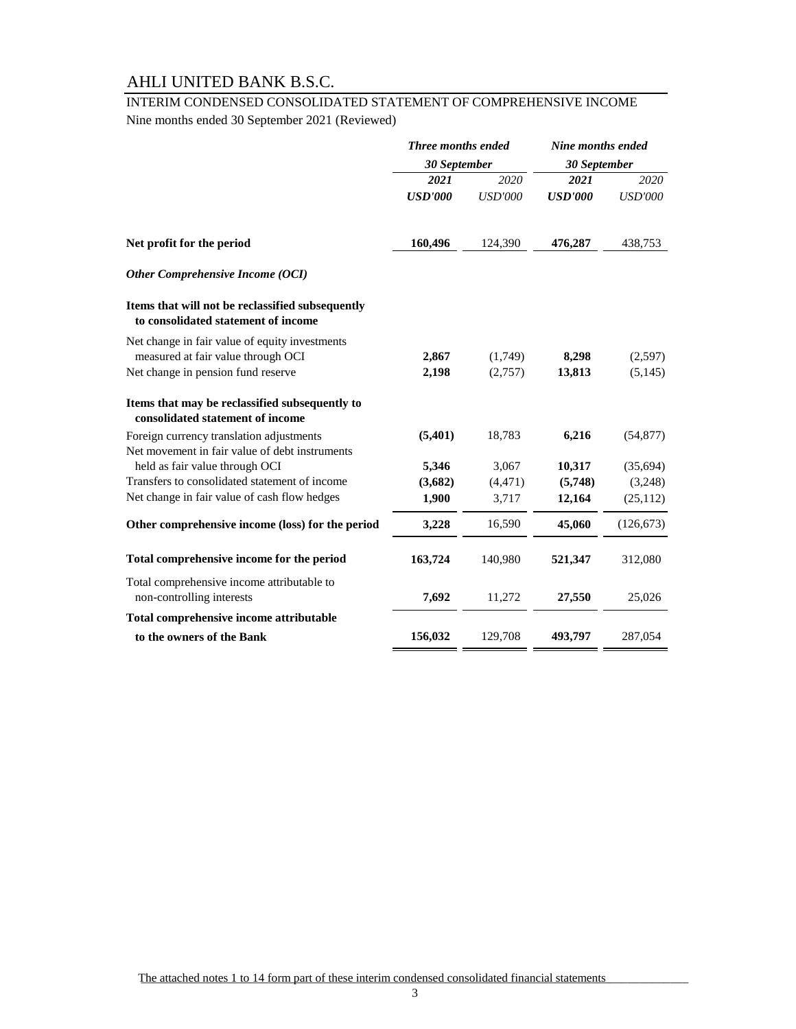# [INTERIM CONDENSED CONSOLIDATED STATEMENT OF COMPREHENSIVE INCOME](file:////aub.net/data/Departments/Group Finance/3.External Reporting/Financial Statements/yahya aljabal/AppData/AppData/Local/Microsoft/Windows/Temporary Internet Files/Content.Outlook/AppData/Local/Microsoft/Windows/Local Settings/Workarea/WINDOWS/Temp/notesE1EF34/AUB Group FS.xls#CONSOLIDATED_INCOME_STATEMENT)

Nine months ended 30 September 2021 (Reviewed)

|                                                                                         | Three months ended<br>30 September<br>30 September |                | Nine months ended |                |  |
|-----------------------------------------------------------------------------------------|----------------------------------------------------|----------------|-------------------|----------------|--|
|                                                                                         |                                                    |                |                   |                |  |
|                                                                                         | 2021                                               | 2020           | 2021              | 2020           |  |
|                                                                                         | <b>USD'000</b>                                     | <b>USD'000</b> | <b>USD'000</b>    | <b>USD'000</b> |  |
| Net profit for the period                                                               | 160,496                                            | 124,390        | 476,287           | 438,753        |  |
| <b>Other Comprehensive Income (OCI)</b>                                                 |                                                    |                |                   |                |  |
| Items that will not be reclassified subsequently<br>to consolidated statement of income |                                                    |                |                   |                |  |
| Net change in fair value of equity investments                                          |                                                    |                |                   |                |  |
| measured at fair value through OCI                                                      | 2,867                                              | (1,749)        | 8,298             | (2,597)        |  |
| Net change in pension fund reserve                                                      | 2,198                                              | (2,757)        | 13,813            | (5,145)        |  |
| Items that may be reclassified subsequently to<br>consolidated statement of income      |                                                    |                |                   |                |  |
| Foreign currency translation adjustments                                                | (5,401)                                            | 18,783         | 6,216             | (54, 877)      |  |
| Net movement in fair value of debt instruments                                          |                                                    |                |                   |                |  |
| held as fair value through OCI                                                          | 5,346                                              | 3,067          | 10,317            | (35,694)       |  |
| Transfers to consolidated statement of income                                           | (3,682)                                            | (4, 471)       | (5,748)           | (3,248)        |  |
| Net change in fair value of cash flow hedges                                            | 1,900                                              | 3,717          | 12,164            | (25, 112)      |  |
| Other comprehensive income (loss) for the period                                        | 3,228                                              | 16,590         | 45,060            | (126, 673)     |  |
| Total comprehensive income for the period                                               | 163,724                                            | 140,980        | 521,347           | 312,080        |  |
| Total comprehensive income attributable to<br>non-controlling interests                 | 7,692                                              | 11,272         | 27,550            | 25,026         |  |
| Total comprehensive income attributable                                                 |                                                    |                |                   |                |  |
| to the owners of the Bank                                                               | 156,032                                            | 129,708        | 493,797           | 287,054        |  |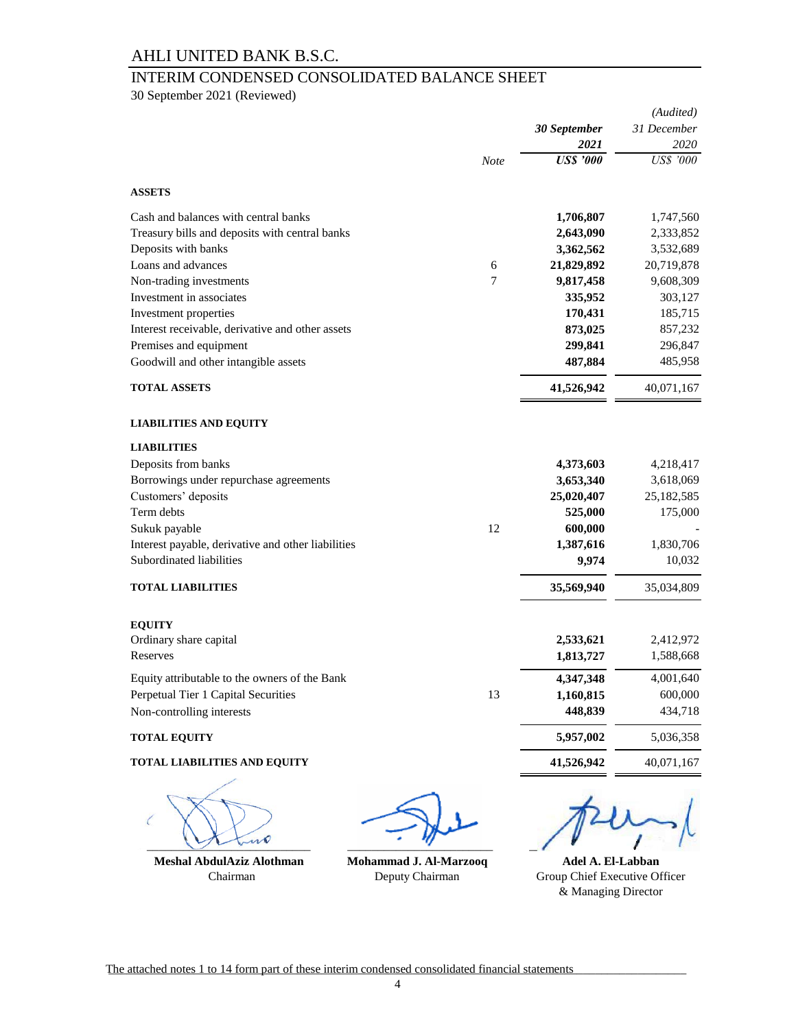# INTERIM CONDENSED CONSOLIDATED BALANCE SHEET

30 September 2021 (Reviewed)

|                                                    |             |                  | (Audited)        |  |
|----------------------------------------------------|-------------|------------------|------------------|--|
|                                                    |             | 30 September     | 31 December      |  |
|                                                    |             | 2021             | 2020             |  |
|                                                    | <b>Note</b> | <b>US\$</b> '000 | <b>US\$</b> '000 |  |
| <b>ASSETS</b>                                      |             |                  |                  |  |
| Cash and balances with central banks               |             | 1,706,807        | 1,747,560        |  |
| Treasury bills and deposits with central banks     |             | 2,643,090        | 2,333,852        |  |
| Deposits with banks                                |             | 3,362,562        | 3,532,689        |  |
| Loans and advances                                 | 6           | 21,829,892       | 20,719,878       |  |
| Non-trading investments                            | 7           | 9,817,458        | 9,608,309        |  |
| Investment in associates                           |             | 335,952          | 303,127          |  |
| Investment properties                              |             | 170,431          | 185,715          |  |
| Interest receivable, derivative and other assets   |             | 873,025          | 857,232          |  |
| Premises and equipment                             |             | 299,841          | 296,847          |  |
| Goodwill and other intangible assets               |             | 487,884          | 485,958          |  |
| <b>TOTAL ASSETS</b>                                |             | 41,526,942       | 40,071,167       |  |
| <b>LIABILITIES AND EQUITY</b>                      |             |                  |                  |  |
| <b>LIABILITIES</b>                                 |             |                  |                  |  |
| Deposits from banks                                |             | 4,373,603        | 4,218,417        |  |
| Borrowings under repurchase agreements             |             | 3,653,340        | 3,618,069        |  |
| Customers' deposits                                |             | 25,020,407       | 25,182,585       |  |
| Term debts                                         |             | 525,000          | 175,000          |  |
| Sukuk payable                                      | 12          | 600,000          |                  |  |
| Interest payable, derivative and other liabilities |             | 1,387,616        | 1,830,706        |  |
| Subordinated liabilities                           |             | 9,974            | 10,032           |  |
| <b>TOTAL LIABILITIES</b>                           |             | 35,569,940       | 35,034,809       |  |
| <b>EQUITY</b>                                      |             |                  |                  |  |
| Ordinary share capital                             |             | 2,533,621        | 2,412,972        |  |
| Reserves                                           |             | 1,813,727        | 1,588,668        |  |
| Equity attributable to the owners of the Bank      |             | 4,347,348        | 4,001,640        |  |
| Perpetual Tier 1 Capital Securities                | 13          | 1,160,815        | 600,000          |  |
| Non-controlling interests                          |             | 448,839          | 434,718          |  |
| <b>TOTAL EQUITY</b>                                |             | 5,957,002        | 5,036,358        |  |
| TOTAL LIABILITIES AND EQUITY                       |             | 41,526,942       | 40,071,167       |  |
|                                                    |             |                  |                  |  |

 $\overline{\mathbf{v}}$ 

 **Meshal AbdulAziz Alothman Mohammad J. Al-Marzooq**

Chairman Deputy Chairman

 $\overline{1}$ 

& Managing Director **Adel A. El-Labban** Group Chief Executive Officer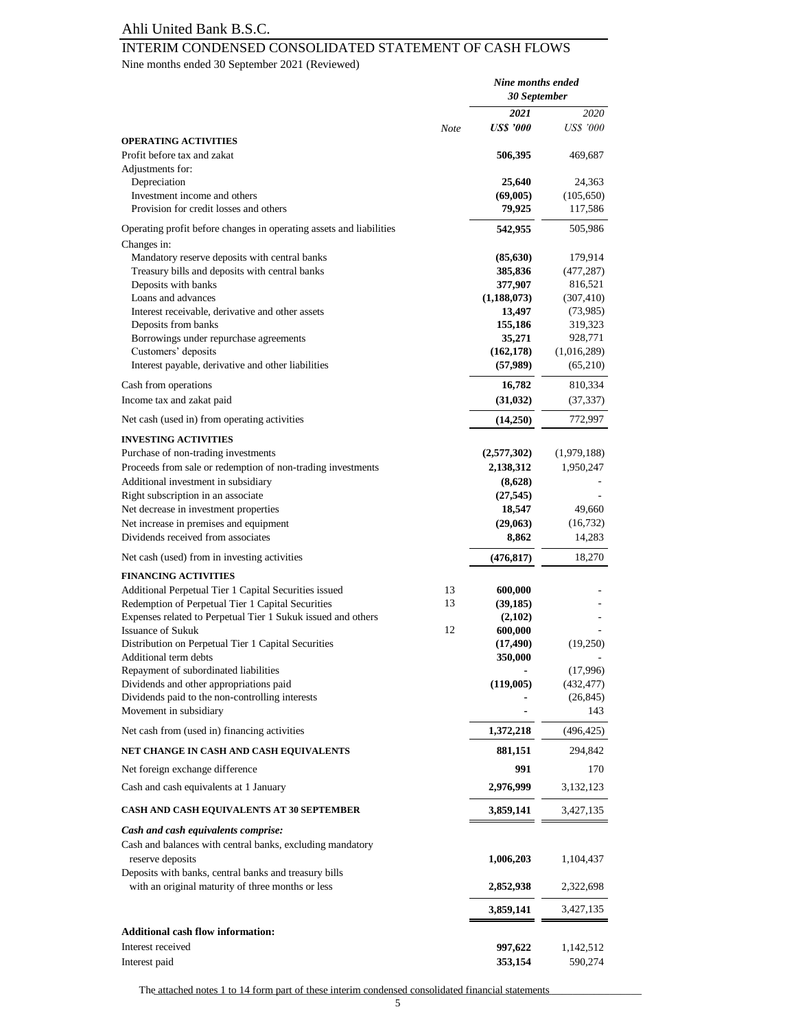## INTERIM CONDENSED CONSOLIDATED STATEMENT OF CASH FLOWS

Nine months ended 30 September 2021 (Reviewed)

|                                                                                                            |      | Nine months ended<br>30 September |                     |
|------------------------------------------------------------------------------------------------------------|------|-----------------------------------|---------------------|
|                                                                                                            |      | 2021                              | 2020                |
|                                                                                                            | Note | <b>US\$</b> '000                  | <b>US\$</b> '000    |
| <b>OPERATING ACTIVITIES</b><br>Profit before tax and zakat<br>Adjustments for:                             |      | 506,395                           | 469,687             |
| Depreciation                                                                                               |      | 25,640                            | 24,363              |
| Investment income and others                                                                               |      | (69,005)                          | (105, 650)          |
| Provision for credit losses and others                                                                     |      | 79,925                            | 117,586             |
| Operating profit before changes in operating assets and liabilities<br>Changes in:                         |      | 542,955                           | 505,986             |
| Mandatory reserve deposits with central banks                                                              |      | (85, 630)                         | 179,914             |
| Treasury bills and deposits with central banks                                                             |      | 385,836                           | (477, 287)          |
| Deposits with banks                                                                                        |      | 377,907                           | 816,521             |
| Loans and advances                                                                                         |      | (1, 188, 073)                     | (307, 410)          |
| Interest receivable, derivative and other assets                                                           |      | 13,497                            | (73,985)            |
| Deposits from banks                                                                                        |      | 155,186                           | 319,323             |
| Borrowings under repurchase agreements                                                                     |      | 35,271                            | 928,771             |
| Customers' deposits                                                                                        |      | (162, 178)                        | (1,016,289)         |
| Interest payable, derivative and other liabilities                                                         |      | (57,989)                          | (65,210)            |
| Cash from operations                                                                                       |      | 16,782                            | 810,334             |
| Income tax and zakat paid                                                                                  |      | (31, 032)                         | (37, 337)           |
| Net cash (used in) from operating activities                                                               |      | (14,250)                          | 772,997             |
| <b>INVESTING ACTIVITIES</b>                                                                                |      |                                   |                     |
| Purchase of non-trading investments                                                                        |      | (2,577,302)                       | (1,979,188)         |
| Proceeds from sale or redemption of non-trading investments                                                |      | 2,138,312                         | 1,950,247           |
| Additional investment in subsidiary                                                                        |      | (8,628)                           |                     |
| Right subscription in an associate                                                                         |      | (27, 545)                         |                     |
| Net decrease in investment properties                                                                      |      | 18,547                            | 49,660              |
| Net increase in premises and equipment<br>Dividends received from associates                               |      | (29,063)<br>8,862                 | (16, 732)<br>14,283 |
|                                                                                                            |      |                                   |                     |
| Net cash (used) from in investing activities<br><b>FINANCING ACTIVITIES</b>                                |      | (476, 817)                        | 18,270              |
| Additional Perpetual Tier 1 Capital Securities issued                                                      | 13   | 600,000                           |                     |
| Redemption of Perpetual Tier 1 Capital Securities                                                          | 13   | (39, 185)                         |                     |
| Expenses related to Perpetual Tier 1 Sukuk issued and others                                               |      | (2,102)                           |                     |
| <b>Issuance of Sukuk</b>                                                                                   | 12   | 600,000                           |                     |
| Distribution on Perpetual Tier 1 Capital Securities                                                        |      | (17, 490)                         | (19,250)            |
| Additional term debts                                                                                      |      | 350,000                           |                     |
| Repayment of subordinated liabilities                                                                      |      |                                   | (17,996)            |
| Dividends and other appropriations paid                                                                    |      | (119,005)                         | (432, 477)          |
| Dividends paid to the non-controlling interests<br>Movement in subsidiary                                  |      |                                   | (26, 845)<br>143    |
| Net cash from (used in) financing activities                                                               |      | 1,372,218                         | (496, 425)          |
| NET CHANGE IN CASH AND CASH EQUIVALENTS                                                                    |      | 881,151                           | 294,842             |
| Net foreign exchange difference                                                                            |      | 991                               | 170                 |
| Cash and cash equivalents at 1 January                                                                     |      | 2,976,999                         | 3,132,123           |
| <b>CASH AND CASH EQUIVALENTS AT 30 SEPTEMBER</b>                                                           |      | 3,859,141                         | 3,427,135           |
| Cash and cash equivalents comprise:                                                                        |      |                                   |                     |
| Cash and balances with central banks, excluding mandatory                                                  |      |                                   |                     |
| reserve deposits                                                                                           |      | 1,006,203                         | 1,104,437           |
| Deposits with banks, central banks and treasury bills<br>with an original maturity of three months or less |      |                                   |                     |
|                                                                                                            |      | 2,852,938                         | 2,322,698           |
|                                                                                                            |      | 3,859,141                         | 3,427,135           |
| <b>Additional cash flow information:</b>                                                                   |      |                                   |                     |
| Interest received                                                                                          |      | 997,622                           | 1,142,512           |
| Interest paid                                                                                              |      | 353,154                           | 590,274             |

The attached notes 1 to 14 form part of these interim condensed consolidated financial statements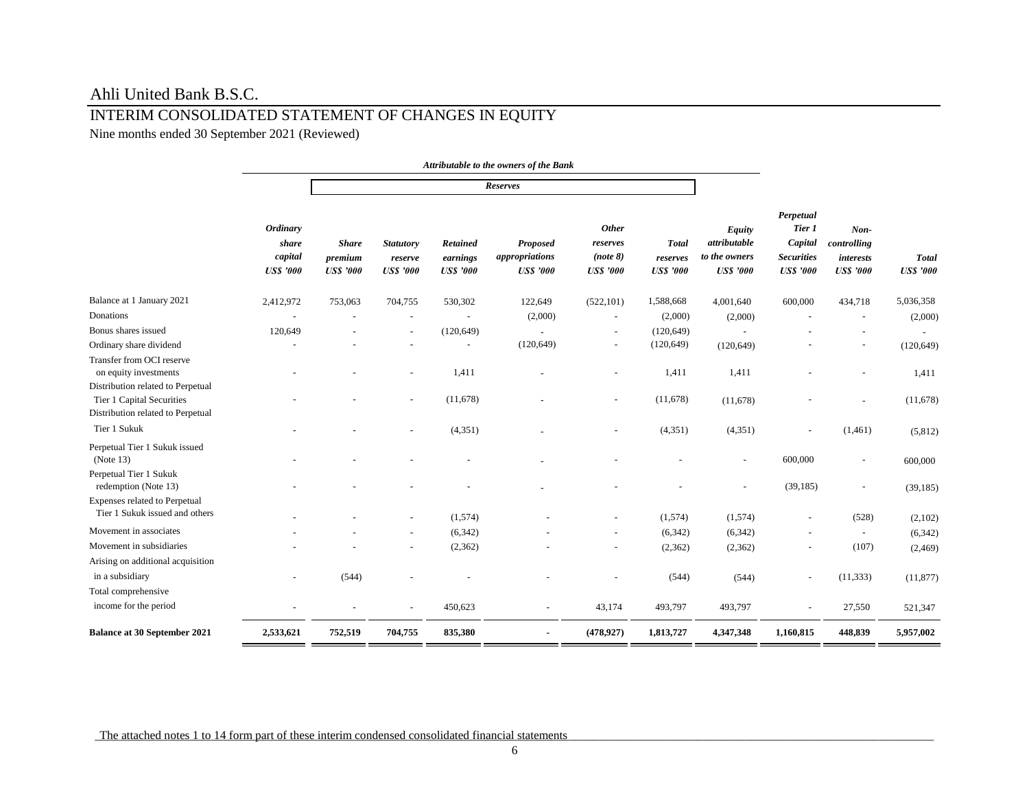# INTERIM CONSOLIDATED STATEMENT OF CHANGES IN EQUITY

Nine months ended 30 September 2021 (Reviewed)

|                                                                        |                                                        |                                             |                                                 |                                          | Attributable to the owners of the Bank               |                                                          |                                              |                                                             |                                                                         |                                                               |                                  |
|------------------------------------------------------------------------|--------------------------------------------------------|---------------------------------------------|-------------------------------------------------|------------------------------------------|------------------------------------------------------|----------------------------------------------------------|----------------------------------------------|-------------------------------------------------------------|-------------------------------------------------------------------------|---------------------------------------------------------------|----------------------------------|
|                                                                        |                                                        |                                             |                                                 |                                          | Reserves                                             |                                                          |                                              |                                                             |                                                                         |                                                               |                                  |
|                                                                        | <b>Ordinary</b><br>share<br>capital<br><b>USS</b> '000 | <b>Share</b><br>premium<br><b>US\$</b> '000 | <b>Statutory</b><br>reserve<br><b>US\$</b> '000 | Retained<br>earnings<br><b>US\$</b> '000 | <b>Proposed</b><br>appropriations<br><b>USS</b> '000 | <b>Other</b><br>reserves<br>(note 8)<br><b>US\$ '000</b> | <b>Total</b><br>reserves<br><b>US\$</b> '000 | Equity<br>attributable<br>to the owners<br><b>US\$</b> '000 | Perpetual<br>Tier 1<br>Capital<br><b>Securities</b><br><b>US\$</b> '000 | $Non-$<br>controlling<br><i>interests</i><br><b>US\$</b> '000 | <b>Total</b><br><b>US\$</b> '000 |
| Balance at 1 January 2021                                              | 2,412,972                                              | 753,063                                     | 704,755                                         | 530,302                                  | 122,649                                              | (522, 101)                                               | 1,588,668                                    | 4,001,640                                                   | 600,000                                                                 | 434,718                                                       | 5,036,358                        |
| Donations                                                              |                                                        |                                             |                                                 |                                          | (2,000)                                              | $\sim$                                                   | (2,000)                                      | (2,000)                                                     |                                                                         | $\overline{\phantom{a}}$                                      | (2,000)                          |
| Bonus shares issued                                                    | 120,649                                                |                                             |                                                 | (120, 649)                               | $\sim$                                               | $\blacksquare$                                           | (120, 649)                                   | $\overline{a}$                                              |                                                                         |                                                               |                                  |
| Ordinary share dividend                                                |                                                        |                                             |                                                 | $\overline{\phantom{a}}$                 | (120, 649)                                           | $\blacksquare$                                           | (120, 649)                                   | (120, 649)                                                  |                                                                         |                                                               | (120, 649)                       |
| Transfer from OCI reserve<br>on equity investments                     |                                                        |                                             |                                                 | 1,411                                    |                                                      |                                                          | 1,411                                        | 1,411                                                       |                                                                         |                                                               | 1,411                            |
| Distribution related to Perpetual                                      |                                                        |                                             |                                                 |                                          |                                                      |                                                          |                                              |                                                             |                                                                         |                                                               |                                  |
| Tier 1 Capital Securities<br>Distribution related to Perpetual         |                                                        |                                             |                                                 | (11,678)                                 |                                                      |                                                          | (11,678)                                     | (11,678)                                                    |                                                                         |                                                               | (11,678)                         |
| Tier 1 Sukuk                                                           |                                                        |                                             |                                                 | (4, 351)                                 |                                                      |                                                          | (4, 351)                                     | (4, 351)                                                    |                                                                         | (1,461)                                                       | (5,812)                          |
| Perpetual Tier 1 Sukuk issued<br>(Note 13)                             |                                                        |                                             |                                                 |                                          |                                                      |                                                          |                                              | ä,                                                          | 600,000                                                                 |                                                               | 600,000                          |
| Perpetual Tier 1 Sukuk<br>redemption (Note 13)                         |                                                        |                                             |                                                 |                                          |                                                      |                                                          |                                              | ÷,                                                          | (39, 185)                                                               | $\sim$                                                        | (39, 185)                        |
| <b>Expenses related to Perpetual</b><br>Tier 1 Sukuk issued and others |                                                        |                                             |                                                 | (1,574)                                  |                                                      |                                                          | (1,574)                                      | (1,574)                                                     |                                                                         | (528)                                                         | (2,102)                          |
| Movement in associates                                                 |                                                        |                                             |                                                 | (6,342)                                  |                                                      |                                                          | (6,342)                                      | (6, 342)                                                    |                                                                         | $\overline{\phantom{a}}$                                      | (6,342)                          |
| Movement in subsidiaries                                               |                                                        |                                             |                                                 | (2, 362)                                 |                                                      | $\blacksquare$                                           | (2,362)                                      | (2,362)                                                     |                                                                         | (107)                                                         | (2, 469)                         |
| Arising on additional acquisition                                      |                                                        |                                             |                                                 |                                          |                                                      |                                                          |                                              |                                                             |                                                                         |                                                               |                                  |
| in a subsidiary                                                        |                                                        | (544)                                       |                                                 |                                          |                                                      |                                                          | (544)                                        | (544)                                                       | $\sim$                                                                  | (11, 333)                                                     | (11, 877)                        |
| Total comprehensive                                                    |                                                        |                                             |                                                 |                                          |                                                      |                                                          |                                              |                                                             |                                                                         |                                                               |                                  |
| income for the period                                                  |                                                        |                                             |                                                 | 450,623                                  | $\overline{a}$                                       | 43,174                                                   | 493,797                                      | 493,797                                                     |                                                                         | 27,550                                                        | 521,347                          |
| <b>Balance at 30 September 2021</b>                                    | 2,533,621                                              | 752,519                                     | 704,755                                         | 835,380                                  |                                                      | (478, 927)                                               | 1,813,727                                    | 4,347,348                                                   | 1,160,815                                                               | 448,839                                                       | 5,957,002                        |

The attached notes 1 to 14 form part of these interim condensed consolidated financial statements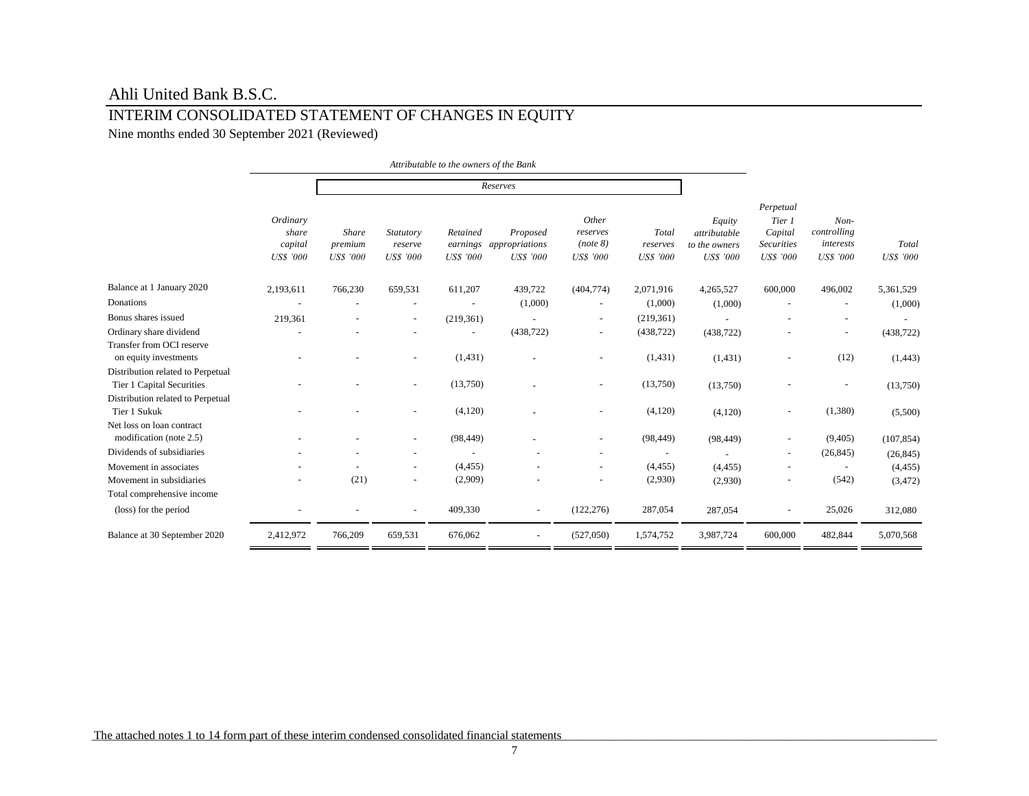## INTERIM CONSOLIDATED STATEMENT OF CHANGES IN EQUITY

Nine months ended 30 September 2021 (Reviewed)

|                                                                                                     |                                                  |                                             |                                          |                                          | Attributable to the owners of the Bank         |                                            |                                       |                                                             |                                                                         |                                                 |                           |
|-----------------------------------------------------------------------------------------------------|--------------------------------------------------|---------------------------------------------|------------------------------------------|------------------------------------------|------------------------------------------------|--------------------------------------------|---------------------------------------|-------------------------------------------------------------|-------------------------------------------------------------------------|-------------------------------------------------|---------------------------|
|                                                                                                     |                                                  |                                             |                                          |                                          | Reserves                                       |                                            |                                       |                                                             |                                                                         |                                                 |                           |
|                                                                                                     | Ordinary<br>share<br>capital<br><b>US\$ '000</b> | <b>Share</b><br>premium<br><b>US\$</b> '000 | Statutory<br>reserve<br><b>US\$</b> '000 | Retained<br>earnings<br><b>US\$</b> '000 | Proposed<br>appropriations<br><b>US\$</b> '000 | Other<br>reserves<br>(note 8)<br>US\$ '000 | Total<br>reserves<br><b>US\$ '000</b> | Equity<br>attributable<br>to the owners<br><b>US\$</b> '000 | Perpetual<br>Tier 1<br>Capital<br><b>Securities</b><br><b>US\$</b> '000 | $Non-$<br>controlling<br>interests<br>US\$ '000 | Total<br><b>US\$</b> '000 |
| Balance at 1 January 2020                                                                           | 2,193,611                                        | 766,230                                     | 659,531                                  | 611,207                                  | 439,722                                        | (404, 774)                                 | 2,071,916                             | 4,265,527                                                   | 600,000                                                                 | 496,002                                         | 5,361,529                 |
| Donations                                                                                           |                                                  |                                             |                                          |                                          | (1,000)                                        |                                            | (1,000)                               | (1,000)                                                     |                                                                         |                                                 | (1,000)                   |
| Bonus shares issued                                                                                 | 219,361                                          |                                             | ۰                                        | (219, 361)                               |                                                | $\blacksquare$                             | (219, 361)                            |                                                             |                                                                         |                                                 |                           |
| Ordinary share dividend                                                                             |                                                  |                                             | ۰                                        |                                          | (438, 722)                                     | $\overline{\phantom{a}}$                   | (438, 722)                            | (438, 722)                                                  |                                                                         | $\overline{\phantom{a}}$                        | (438, 722)                |
| Transfer from OCI reserve<br>on equity investments                                                  |                                                  |                                             | ÷,                                       | (1, 431)                                 |                                                | $\sim$                                     | (1, 431)                              | (1,431)                                                     | $\blacksquare$                                                          | (12)                                            | (1, 443)                  |
| Distribution related to Perpetual<br>Tier 1 Capital Securities<br>Distribution related to Perpetual |                                                  |                                             | ۰                                        | (13,750)                                 |                                                | $\blacksquare$                             | (13,750)                              | (13,750)                                                    |                                                                         | $\overline{\phantom{a}}$                        | (13,750)                  |
| Tier 1 Sukuk                                                                                        |                                                  |                                             | $\blacksquare$                           | (4,120)                                  |                                                | $\sim$                                     | (4,120)                               | (4,120)                                                     | $\overline{\phantom{a}}$                                                | (1,380)                                         | (5,500)                   |
| Net loss on loan contract<br>modification (note 2.5)                                                |                                                  |                                             | ۰                                        | (98, 449)                                |                                                |                                            | (98, 449)                             | (98, 449)                                                   | $\overline{\phantom{a}}$                                                | (9,405)                                         | (107, 854)                |
| Dividends of subsidiaries                                                                           |                                                  |                                             |                                          |                                          |                                                |                                            |                                       |                                                             | $\overline{\phantom{a}}$                                                | (26, 845)                                       | (26, 845)                 |
| Movement in associates                                                                              |                                                  |                                             |                                          | (4, 455)                                 |                                                |                                            | (4, 455)                              | (4, 455)                                                    |                                                                         |                                                 | (4, 455)                  |
| Movement in subsidiaries<br>Total comprehensive income                                              |                                                  | (21)                                        | ۰                                        | (2,909)                                  |                                                |                                            | (2,930)                               | (2,930)                                                     |                                                                         | (542)                                           | (3, 472)                  |
| (loss) for the period                                                                               |                                                  |                                             |                                          | 409,330                                  |                                                | (122, 276)                                 | 287,054                               | 287,054                                                     |                                                                         | 25,026                                          | 312,080                   |
| Balance at 30 September 2020                                                                        | 2,412,972                                        | 766,209                                     | 659,531                                  | 676,062                                  | $\blacksquare$                                 | (527,050)                                  | 1,574,752                             | 3,987,724                                                   | 600,000                                                                 | 482,844                                         | 5,070,568                 |

The attached notes 1 to 14 form part of these interim condensed consolidated financial statements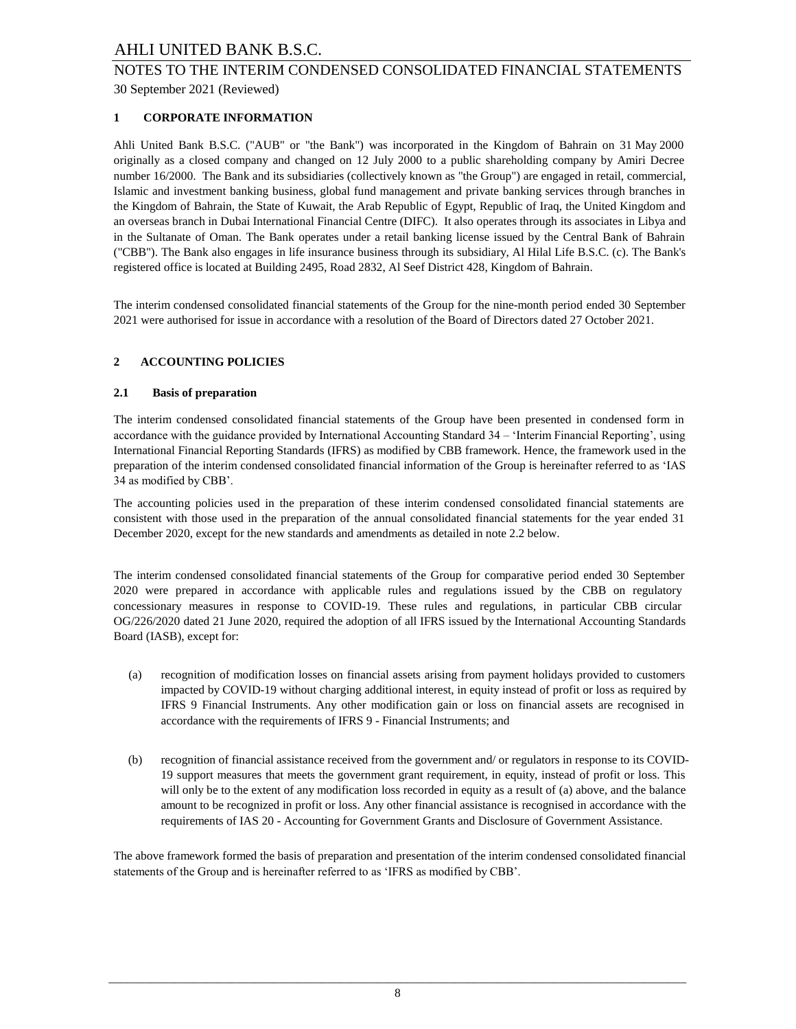## 30 September 2021 (Reviewed) NOTES TO THE INTERIM CONDENSED CONSOLIDATED FINANCIAL STATEMENTS

## **1 CORPORATE INFORMATION**

Ahli United Bank B.S.C. ("AUB" or "the Bank") was incorporated in the Kingdom of Bahrain on 31 May 2000 originally as a closed company and changed on 12 July 2000 to a public shareholding company by Amiri Decree number 16/2000. The Bank and its subsidiaries (collectively known as "the Group") are engaged in retail, commercial, Islamic and investment banking business, global fund management and private banking services through branches in the Kingdom of Bahrain, the State of Kuwait, the Arab Republic of Egypt, Republic of Iraq, the United Kingdom and an overseas branch in Dubai International Financial Centre (DIFC). It also operates through its associates in Libya and in the Sultanate of Oman. The Bank operates under a retail banking license issued by the Central Bank of Bahrain ("CBB"). The Bank also engages in life insurance business through its subsidiary, Al Hilal Life B.S.C. (c). The Bank's registered office is located at Building 2495, Road 2832, Al Seef District 428, Kingdom of Bahrain.

The interim condensed consolidated financial statements of the Group for the nine-month period ended 30 September 2021 were authorised for issue in accordance with a resolution of the Board of Directors dated 27 October 2021.

#### **2 ACCOUNTING POLICIES**

#### **2.1 Basis of preparation**

The interim condensed consolidated financial statements of the Group have been presented in condensed form in accordance with the guidance provided by International Accounting Standard 34 – 'Interim Financial Reporting', using International Financial Reporting Standards (IFRS) as modified by CBB framework. Hence, the framework used in the preparation of the interim condensed consolidated financial information of the Group is hereinafter referred to as 'IAS 34 as modified by CBB'.

The accounting policies used in the preparation of these interim condensed consolidated financial statements are consistent with those used in the preparation of the annual consolidated financial statements for the year ended 31 December 2020, except for the new standards and amendments as detailed in note 2.2 below.

The interim condensed consolidated financial statements of the Group for comparative period ended 30 September 2020 were prepared in accordance with applicable rules and regulations issued by the CBB on regulatory concessionary measures in response to COVID-19. These rules and regulations, in particular CBB circular OG/226/2020 dated 21 June 2020, required the adoption of all IFRS issued by the International Accounting Standards Board (IASB), except for:

- (a) recognition of modification losses on financial assets arising from payment holidays provided to customers impacted by COVID-19 without charging additional interest, in equity instead of profit or loss as required by IFRS 9 Financial Instruments. Any other modification gain or loss on financial assets are recognised in accordance with the requirements of IFRS 9 - Financial Instruments; and
- (b) recognition of financial assistance received from the government and/ or regulators in response to its COVID-19 support measures that meets the government grant requirement, in equity, instead of profit or loss. This will only be to the extent of any modification loss recorded in equity as a result of (a) above, and the balance amount to be recognized in profit or loss. Any other financial assistance is recognised in accordance with the requirements of IAS 20 - Accounting for Government Grants and Disclosure of Government Assistance.

The above framework formed the basis of preparation and presentation of the interim condensed consolidated financial statements of the Group and is hereinafter referred to as 'IFRS as modified by CBB'.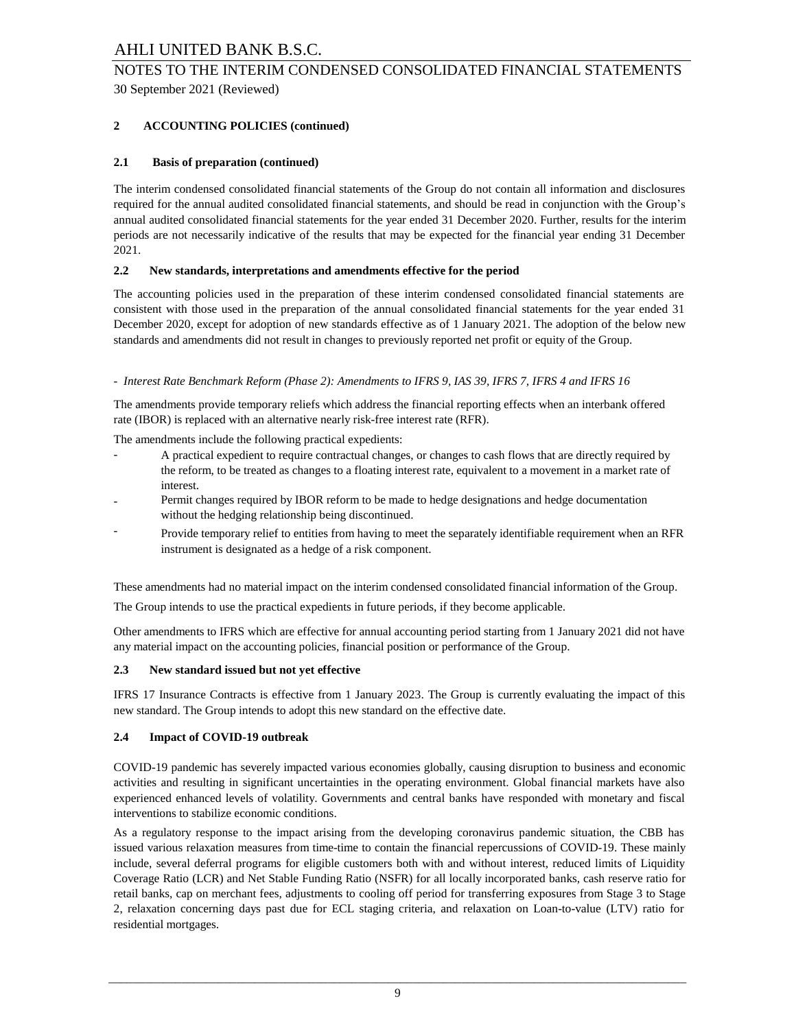## 30 September 2021 (Reviewed) NOTES TO THE INTERIM CONDENSED CONSOLIDATED FINANCIAL STATEMENTS

## **2 ACCOUNTING POLICIES (continued)**

#### **2.1 Basis of preparation (continued)**

The interim condensed consolidated financial statements of the Group do not contain all information and disclosures required for the annual audited consolidated financial statements, and should be read in conjunction with the Group's annual audited consolidated financial statements for the year ended 31 December 2020. Further, results for the interim periods are not necessarily indicative of the results that may be expected for the financial year ending 31 December 2021.

#### **2.2 New standards, interpretations and amendments effective for the period**

The accounting policies used in the preparation of these interim condensed consolidated financial statements are consistent with those used in the preparation of the annual consolidated financial statements for the year ended 31 December 2020, except for adoption of new standards effective as of 1 January 2021. The adoption of the below new standards and amendments did not result in changes to previously reported net profit or equity of the Group.

#### *- Interest Rate Benchmark Reform (Phase 2): Amendments to IFRS 9, IAS 39, IFRS 7, IFRS 4 and IFRS 16*

The amendments provide temporary reliefs which address the financial reporting effects when an interbank offered rate (IBOR) is replaced with an alternative nearly risk-free interest rate (RFR).

The amendments include the following practical expedients:

- A practical expedient to require contractual changes, or changes to cash flows that are directly required by the reform, to be treated as changes to a floating interest rate, equivalent to a movement in a market rate of interest.
- Permit changes required by IBOR reform to be made to hedge designations and hedge documentation without the hedging relationship being discontinued.
- Provide temporary relief to entities from having to meet the separately identifiable requirement when an RFR instrument is designated as a hedge of a risk component.

These amendments had no material impact on the interim condensed consolidated financial information of the Group.

The Group intends to use the practical expedients in future periods, if they become applicable.

Other amendments to IFRS which are effective for annual accounting period starting from 1 January 2021 did not have any material impact on the accounting policies, financial position or performance of the Group.

#### **2.3 New standard issued but not yet effective**

IFRS 17 Insurance Contracts is effective from 1 January 2023. The Group is currently evaluating the impact of this new standard. The Group intends to adopt this new standard on the effective date.

#### **2.4 Impact of COVID-19 outbreak**

COVID-19 pandemic has severely impacted various economies globally, causing disruption to business and economic activities and resulting in significant uncertainties in the operating environment. Global financial markets have also experienced enhanced levels of volatility. Governments and central banks have responded with monetary and fiscal interventions to stabilize economic conditions.

As a regulatory response to the impact arising from the developing coronavirus pandemic situation, the CBB has issued various relaxation measures from time-time to contain the financial repercussions of COVID-19. These mainly include, several deferral programs for eligible customers both with and without interest, reduced limits of Liquidity Coverage Ratio (LCR) and Net Stable Funding Ratio (NSFR) for all locally incorporated banks, cash reserve ratio for retail banks, cap on merchant fees, adjustments to cooling off period for transferring exposures from Stage 3 to Stage 2, relaxation concerning days past due for ECL staging criteria, and relaxation on Loan-to-value (LTV) ratio for residential mortgages.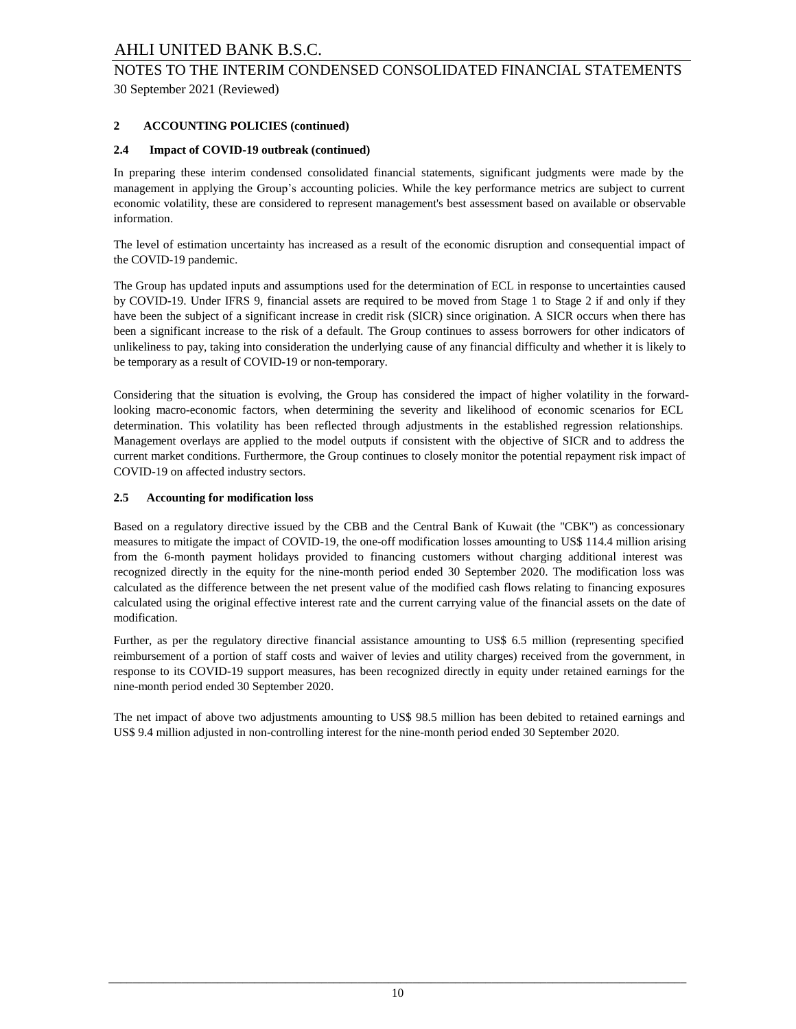## 30 September 2021 (Reviewed) NOTES TO THE INTERIM CONDENSED CONSOLIDATED FINANCIAL STATEMENTS

## **2 ACCOUNTING POLICIES (continued)**

#### **2.4 Impact of COVID-19 outbreak (continued)**

In preparing these interim condensed consolidated financial statements, significant judgments were made by the management in applying the Group's accounting policies. While the key performance metrics are subject to current economic volatility, these are considered to represent management's best assessment based on available or observable information.

The level of estimation uncertainty has increased as a result of the economic disruption and consequential impact of the COVID-19 pandemic.

The Group has updated inputs and assumptions used for the determination of ECL in response to uncertainties caused by COVID-19. Under IFRS 9, financial assets are required to be moved from Stage 1 to Stage 2 if and only if they have been the subject of a significant increase in credit risk (SICR) since origination. A SICR occurs when there has been a significant increase to the risk of a default. The Group continues to assess borrowers for other indicators of unlikeliness to pay, taking into consideration the underlying cause of any financial difficulty and whether it is likely to be temporary as a result of COVID-19 or non-temporary.

Considering that the situation is evolving, the Group has considered the impact of higher volatility in the forwardlooking macro-economic factors, when determining the severity and likelihood of economic scenarios for ECL determination. This volatility has been reflected through adjustments in the established regression relationships. Management overlays are applied to the model outputs if consistent with the objective of SICR and to address the current market conditions. Furthermore, the Group continues to closely monitor the potential repayment risk impact of COVID-19 on affected industry sectors.

#### **2.5 Accounting for modification loss**

Based on a regulatory directive issued by the CBB and the Central Bank of Kuwait (the "CBK") as concessionary measures to mitigate the impact of COVID-19, the one-off modification losses amounting to US\$ 114.4 million arising from the 6-month payment holidays provided to financing customers without charging additional interest was recognized directly in the equity for the nine-month period ended 30 September 2020. The modification loss was calculated as the difference between the net present value of the modified cash flows relating to financing exposures calculated using the original effective interest rate and the current carrying value of the financial assets on the date of modification.

Further, as per the regulatory directive financial assistance amounting to US\$ 6.5 million (representing specified reimbursement of a portion of staff costs and waiver of levies and utility charges) received from the government, in response to its COVID-19 support measures, has been recognized directly in equity under retained earnings for the nine-month period ended 30 September 2020.

The net impact of above two adjustments amounting to US\$ 98.5 million has been debited to retained earnings and US\$ 9.4 million adjusted in non-controlling interest for the nine-month period ended 30 September 2020.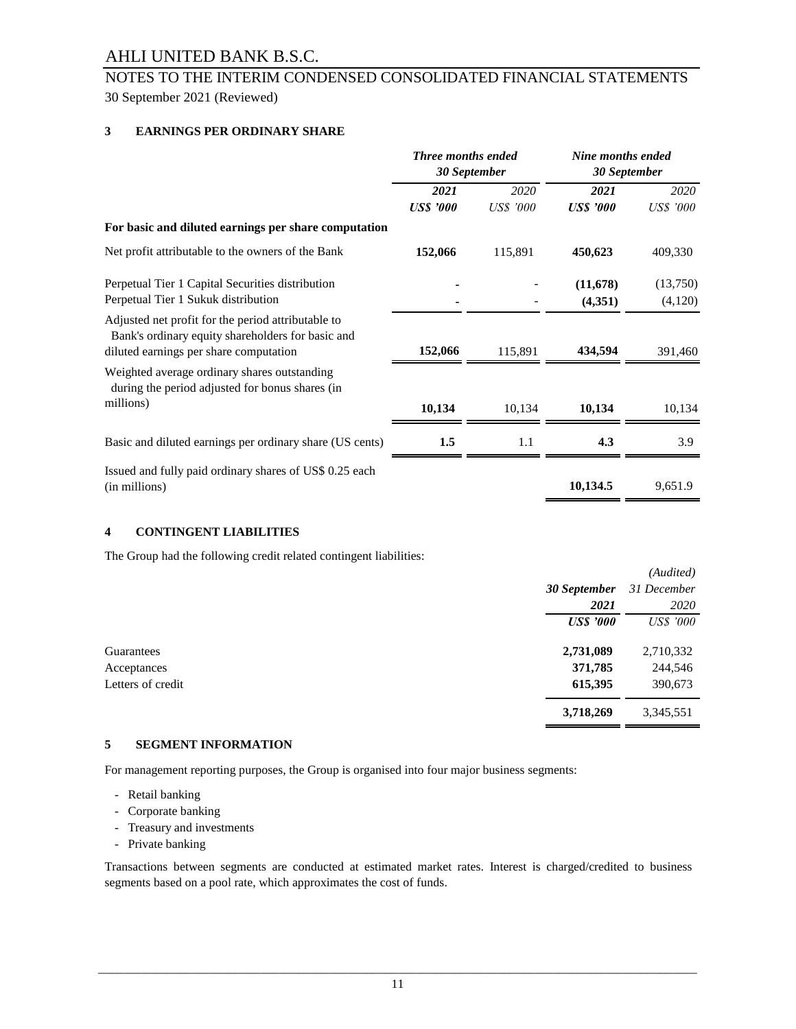## 30 September 2021 (Reviewed) NOTES TO THE INTERIM CONDENSED CONSOLIDATED FINANCIAL STATEMENTS

## **3 EARNINGS PER ORDINARY SHARE**

|                                                                                                                                                   | <b>Three months ended</b><br>30 September |                  | Nine months ended<br>30 September |                  |
|---------------------------------------------------------------------------------------------------------------------------------------------------|-------------------------------------------|------------------|-----------------------------------|------------------|
|                                                                                                                                                   | 2021                                      | 2020             | 2021                              | 2020             |
|                                                                                                                                                   | <b>US\$</b> '000                          | <b>US\$</b> '000 | <b>USS '000</b>                   | <b>US\$</b> '000 |
| For basic and diluted earnings per share computation                                                                                              |                                           |                  |                                   |                  |
| Net profit attributable to the owners of the Bank                                                                                                 | 152,066                                   | 115,891          | 450,623                           | 409,330          |
| Perpetual Tier 1 Capital Securities distribution                                                                                                  |                                           |                  | (11, 678)                         | (13,750)         |
| Perpetual Tier 1 Sukuk distribution                                                                                                               |                                           |                  | (4,351)                           | (4,120)          |
| Adjusted net profit for the period attributable to<br>Bank's ordinary equity shareholders for basic and<br>diluted earnings per share computation | 152,066                                   | 115,891          | 434,594                           | 391,460          |
| Weighted average ordinary shares outstanding<br>during the period adjusted for bonus shares (in                                                   |                                           |                  |                                   |                  |
| millions)                                                                                                                                         | 10,134                                    | 10,134           | 10,134                            | 10,134           |
| Basic and diluted earnings per ordinary share (US cents)                                                                                          | 1.5                                       | 1.1              | 4.3                               | 3.9              |
| Issued and fully paid ordinary shares of US\$ 0.25 each<br>(in millions)                                                                          |                                           |                  | 10,134.5                          | 9,651.9          |

#### **4 CONTINGENT LIABILITIES**

The Group had the following credit related contingent liabilities:

|                   |                  | (Audited)        |
|-------------------|------------------|------------------|
|                   | 30 September     | 31 December      |
|                   | 2021             | 2020             |
|                   | <b>US\$</b> '000 | <b>US\$</b> '000 |
| Guarantees        | 2,731,089        | 2,710,332        |
| Acceptances       | 371,785          | 244,546          |
| Letters of credit | 615,395          | 390,673          |
|                   | 3,718,269        | 3,345,551        |

#### **5 SEGMENT INFORMATION**

For management reporting purposes, the Group is organised into four major business segments:

- Retail banking
- Corporate banking
- Treasury and investments
- Private banking

Transactions between segments are conducted at estimated market rates. Interest is charged/credited to business segments based on a pool rate, which approximates the cost of funds.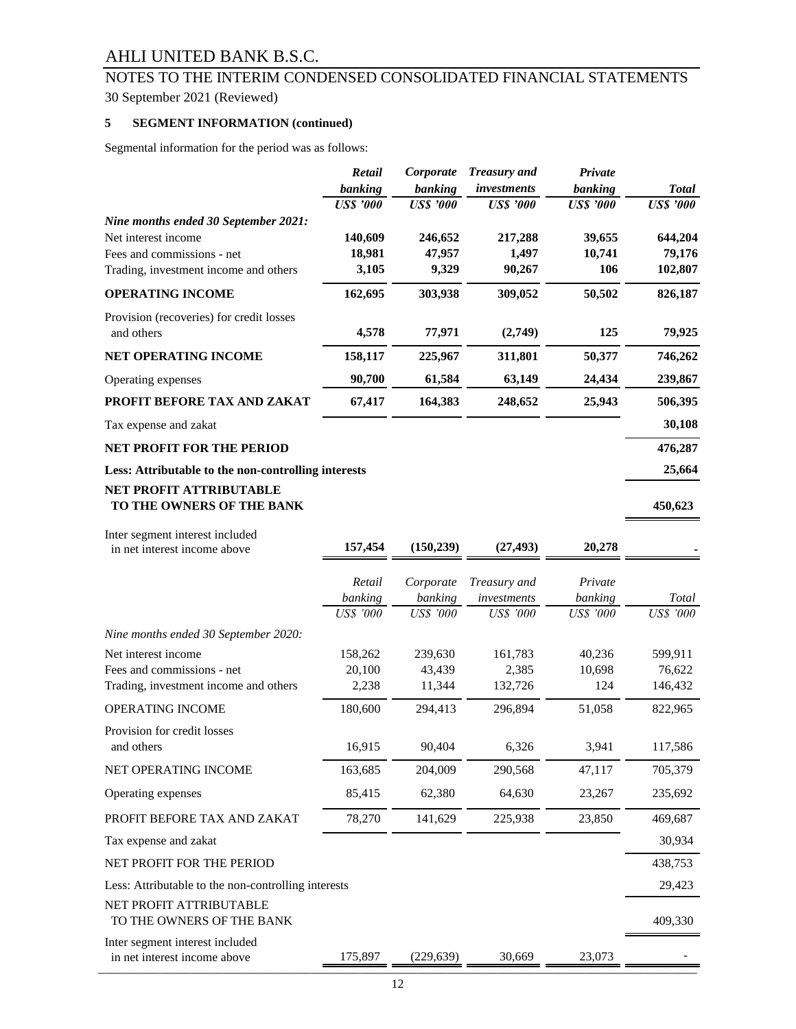# 30 September 2021 (Reviewed) NOTES TO THE INTERIM CONDENSED CONSOLIDATED FINANCIAL STATEMENTS

## **5 SEGMENT INFORMATION (continued)**

Segmental information for the period was as follows:

|                                                                 | Retail            | Corporate         | <b>Treasury</b> and | Private          |                   |
|-----------------------------------------------------------------|-------------------|-------------------|---------------------|------------------|-------------------|
|                                                                 | banking           | banking           | investments         | banking          | <b>Total</b>      |
|                                                                 | <b>US\$</b> '000  | <b>US\$</b> '000  | <b>US\$</b> '000    | <b>US\$</b> '000 | <b>US\$</b> '000  |
| Nine months ended 30 September 2021:                            |                   |                   |                     |                  |                   |
| Net interest income<br>Fees and commissions - net               | 140,609<br>18,981 | 246,652<br>47,957 | 217,288<br>1,497    | 39,655<br>10,741 | 644,204<br>79,176 |
| Trading, investment income and others                           | 3,105             | 9,329             | 90,267              | 106              | 102,807           |
| <b>OPERATING INCOME</b>                                         | 162,695           | 303,938           | 309,052             | 50,502           | 826,187           |
| Provision (recoveries) for credit losses<br>and others          | 4,578             | 77,971            | (2,749)             | 125              | 79,925            |
| <b>NET OPERATING INCOME</b>                                     | 158,117           | 225,967           | 311,801             | 50,377           | 746,262           |
| Operating expenses                                              | 90,700            | 61,584            | 63,149              | 24,434           | 239,867           |
| PROFIT BEFORE TAX AND ZAKAT                                     | 67,417            | 164,383           | 248,652             | 25,943           | 506,395           |
| Tax expense and zakat                                           |                   |                   |                     |                  | 30,108            |
| <b>NET PROFIT FOR THE PERIOD</b>                                |                   |                   |                     |                  | 476,287           |
| Less: Attributable to the non-controlling interests             |                   |                   |                     |                  | 25,664            |
| <b>NET PROFIT ATTRIBUTABLE</b><br>TO THE OWNERS OF THE BANK     |                   |                   |                     |                  | 450,623           |
| Inter segment interest included<br>in net interest income above | 157,454           | (150, 239)        | (27, 493)           | 20,278           |                   |
|                                                                 |                   |                   |                     |                  |                   |
|                                                                 | Retail            | Corporate         | Treasury and        | Private          |                   |
|                                                                 |                   |                   |                     |                  |                   |
|                                                                 | banking           | banking           | investments         | banking          | Total             |
|                                                                 | <b>US\$</b> '000  | <b>US\$</b> '000  | <b>US\$</b> '000    | <b>US\$</b> '000 | US\$ '000         |
| Nine months ended 30 September 2020:                            |                   |                   |                     |                  |                   |
| Net interest income                                             | 158,262           | 239,630           | 161,783             | 40,236           | 599,911           |
| Fees and commissions - net                                      | 20,100            | 43,439            | 2,385               | 10,698           | 76,622            |
| Trading, investment income and others                           | 2,238             | 11,344            | 132,726             | 124              | 146,432           |
| OPERATING INCOME                                                | 180,600           | 294,413           | 296,894             | 51,058           | 822,965           |
| Provision for credit losses                                     |                   |                   |                     |                  |                   |
| and others                                                      | 16,915            | 90,404            | 6,326               | 3,941            | 117,586           |
| NET OPERATING INCOME                                            | 163,685           | 204,009           | 290,568             | 47,117           | 705,379           |
| Operating expenses                                              | 85,415            | 62,380            | 64,630              | 23,267           | 235,692           |
| PROFIT BEFORE TAX AND ZAKAT                                     | 78,270            | 141,629           | 225,938             | 23,850           | 469,687           |
| Tax expense and zakat                                           |                   |                   |                     |                  | 30,934            |
| NET PROFIT FOR THE PERIOD                                       |                   |                   |                     |                  | 438,753           |
| Less: Attributable to the non-controlling interests             |                   |                   |                     |                  | 29,423            |
| NET PROFIT ATTRIBUTABLE<br>TO THE OWNERS OF THE BANK            |                   |                   |                     |                  | 409,330           |
| Inter segment interest included<br>in net interest income above | 175,897           | (229, 639)        | 30,669              | 23,073           |                   |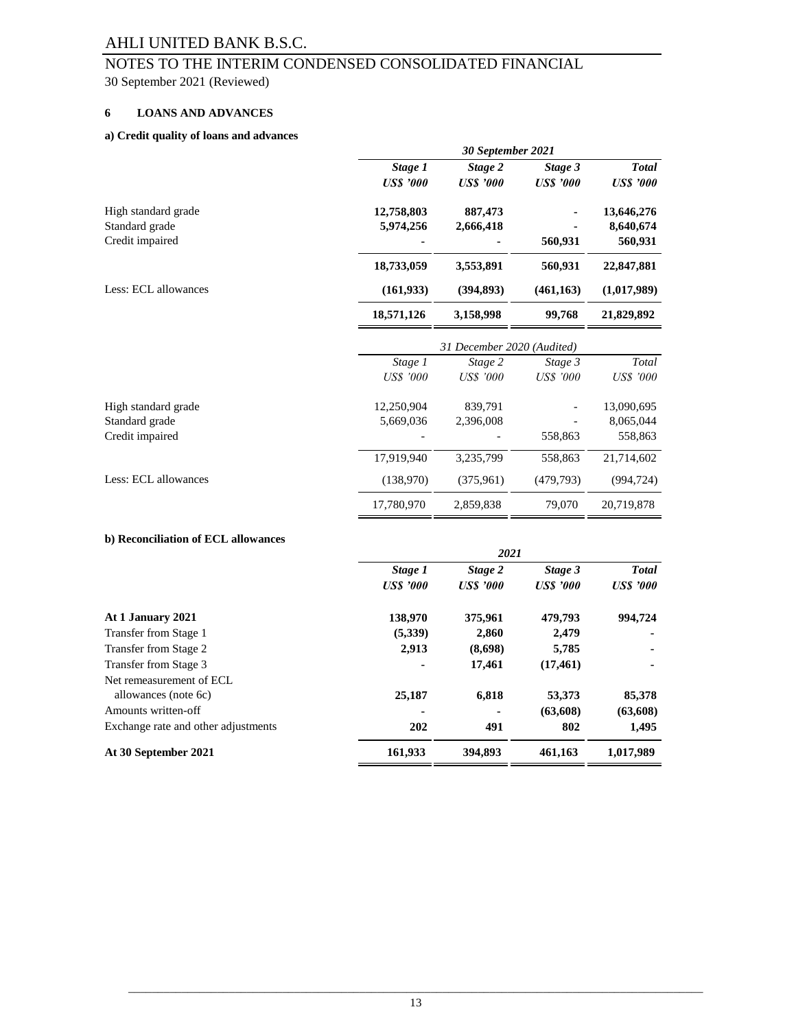## 30 September 2021 (Reviewed) NOTES TO THE INTERIM CONDENSED CONSOLIDATED FINANCIAL

## **6 LOANS AND ADVANCES**

#### **a) Credit quality of loans and advances**

|                      |                  | 30 September 2021          |                  |                  |
|----------------------|------------------|----------------------------|------------------|------------------|
|                      | Stage 1          | Stage 2                    | Stage 3          | <b>Total</b>     |
|                      | <b>US\$</b> '000 | <b>US\$</b> '000           | <b>US\$</b> '000 | <b>US\$</b> '000 |
| High standard grade  | 12,758,803       | 887,473                    |                  | 13,646,276       |
| Standard grade       | 5,974,256        | 2,666,418                  |                  | 8,640,674        |
| Credit impaired      |                  |                            | 560,931          | 560,931          |
|                      | 18,733,059       | 3,553,891                  | 560,931          | 22,847,881       |
| Less: ECL allowances | (161, 933)       | (394, 893)                 | (461, 163)       | (1,017,989)      |
|                      | 18,571,126       | 3,158,998                  | 99,768           | 21,829,892       |
|                      |                  | 31 December 2020 (Audited) |                  |                  |
|                      | Stage 1          | Stage 2                    | Stage 3          | Total            |
|                      | <b>US\$</b> '000 | <b>US\$</b> '000           | <b>US\$</b> '000 | <b>US\$</b> '000 |
| High standard grade  | 12,250,904       | 839,791                    |                  | 13,090,695       |
| Standard grade       | 5,669,036        | 2,396,008                  |                  | 8,065,044        |
| Credit impaired      |                  |                            | 558,863          | 558,863          |
|                      | 17,919,940       | 3,235,799                  | 558,863          | 21,714,602       |
| Less: ECL allowances | (138,970)        | (375, 961)                 | (479, 793)       | (994, 724)       |

#### **b) Reconciliation of ECL allowances**

|                                     |                  | 2021             |                 |                  |
|-------------------------------------|------------------|------------------|-----------------|------------------|
|                                     | Stage 1          | Stage 2          | Stage 3         | <b>Total</b>     |
|                                     | <b>US\$</b> '000 | <b>US\$</b> '000 | <b>USS</b> '000 | <b>US\$</b> '000 |
| At 1 January 2021                   | 138,970          | 375,961          | 479,793         | 994.724          |
| Transfer from Stage 1               | (5,339)          | 2,860            | 2,479           |                  |
| Transfer from Stage 2               | 2,913            | (8,698)          | 5,785           |                  |
| Transfer from Stage 3               |                  | 17,461           | (17, 461)       | ۰                |
| Net remeasurement of ECL            |                  |                  |                 |                  |
| allowances (note 6c)                | 25,187           | 6,818            | 53,373          | 85,378           |
| Amounts written-off                 |                  |                  | (63,608)        | (63,608)         |
| Exchange rate and other adjustments | 202              | 491              | 802             | 1,495            |
| At 30 September 2021                | 161,933          | 394,893          | 461,163         | 1,017,989        |

17,780,970 2,859,838 79,070 20,719,878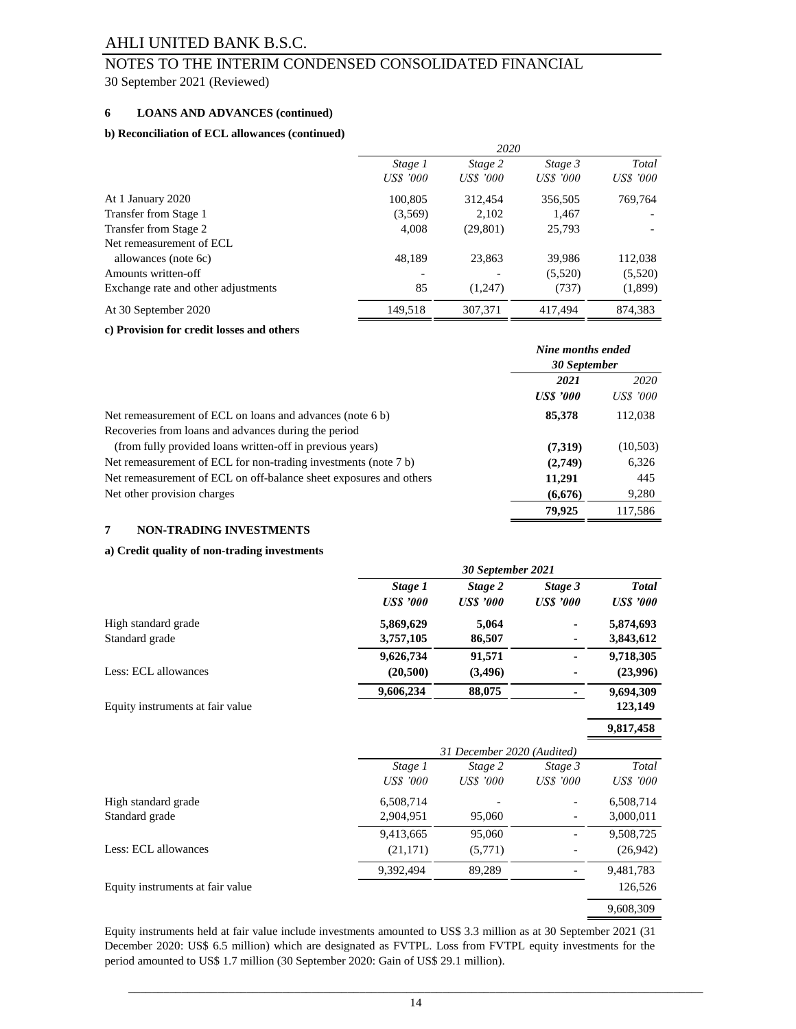# NOTES TO THE INTERIM CONDENSED CONSOLIDATED FINANCIAL

30 September 2021 (Reviewed)

#### **6 LOANS AND ADVANCES (continued)**

#### **b) Reconciliation of ECL allowances (continued)**

|                                     |                  | 2020      |           |                  |  |
|-------------------------------------|------------------|-----------|-----------|------------------|--|
|                                     | Stage 1          | Stage 2   | Stage 3   | Total            |  |
|                                     | <b>US\$</b> '000 | US\$ '000 | US\$ '000 | <i>US\$ '000</i> |  |
| At 1 January 2020                   | 100,805          | 312,454   | 356,505   | 769,764          |  |
| Transfer from Stage 1               | (3,569)          | 2,102     | 1,467     |                  |  |
| Transfer from Stage 2               | 4,008            | (29, 801) | 25,793    |                  |  |
| Net remeasurement of ECL            |                  |           |           |                  |  |
| allowances (note 6c)                | 48,189           | 23,863    | 39,986    | 112,038          |  |
| Amounts written-off                 |                  |           | (5,520)   | (5,520)          |  |
| Exchange rate and other adjustments | 85               | (1,247)   | (737)     | (1,899)          |  |
| At 30 September 2020                | 149,518          | 307.371   | 417.494   | 874.383          |  |

#### **c) Provision for credit losses and others**

|                                                                    | Nine months ended<br>30 September |                  |
|--------------------------------------------------------------------|-----------------------------------|------------------|
|                                                                    | 2021                              | 2020             |
|                                                                    | <b>US\$</b> '000                  | <i>US\$ '000</i> |
| Net remeasurement of ECL on loans and advances (note 6 b)          | 85,378                            | 112,038          |
| Recoveries from loans and advances during the period               |                                   |                  |
| (from fully provided loans written-off in previous years)          | (7,319)                           | (10,503)         |
| Net remeasurement of ECL for non-trading investments (note 7 b)    | (2,749)                           | 6,326            |
| Net remeasurement of ECL on off-balance sheet exposures and others | 11,291                            | 445              |
| Net other provision charges                                        | (6,676)                           | 9,280            |
|                                                                    | 79,925                            | 117.586          |

#### **7 NON-TRADING INVESTMENTS**

#### **a) Credit quality of non-trading investments**

|                                  | 30 September 2021           |                             |                             |                                  |
|----------------------------------|-----------------------------|-----------------------------|-----------------------------|----------------------------------|
|                                  | Stage 1<br><b>US\$</b> '000 | Stage 2<br><b>US\$</b> '000 | Stage 3<br><b>US\$</b> '000 | <b>Total</b><br><b>US\$</b> '000 |
| High standard grade              | 5,869,629                   | 5,064                       |                             | 5,874,693                        |
| Standard grade                   | 3,757,105                   | 86,507                      |                             | 3,843,612                        |
|                                  | 9,626,734                   | 91,571                      |                             | 9,718,305                        |
| Less: ECL allowances             | (20, 500)                   | (3,496)                     |                             | (23,996)                         |
|                                  | 9,606,234                   | 88,075                      |                             | 9,694,309                        |
| Equity instruments at fair value |                             |                             |                             | 123,149                          |
|                                  |                             |                             |                             | 9,817,458                        |
|                                  |                             | 31 December 2020 (Audited)  |                             |                                  |
|                                  | Stage 1                     | Stage 2                     | Stage 3                     | Total                            |
|                                  | US\$ '000                   | <b>US\$</b> '000            | US\$ '000                   | <b>US\$</b> '000                 |
| High standard grade              | 6,508,714                   |                             |                             | 6,508,714                        |
| Standard grade                   | 2,904,951                   | 95,060                      |                             | 3,000,011                        |
|                                  | 9,413,665                   | 95,060                      |                             | 9,508,725                        |
| Less: ECL allowances             | (21, 171)                   | (5,771)                     |                             | (26, 942)                        |
|                                  | 9,392,494                   | 89,289                      |                             | 9,481,783                        |
| Equity instruments at fair value |                             |                             |                             | 126,526                          |
|                                  |                             |                             |                             | 9,608,309                        |

Equity instruments held at fair value include investments amounted to US\$ 3.3 million as at 30 September 2021 (31 December 2020: US\$ 6.5 million) which are designated as FVTPL. Loss from FVTPL equity investments for the period amounted to US\$ 1.7 million (30 September 2020: Gain of US\$ 29.1 million).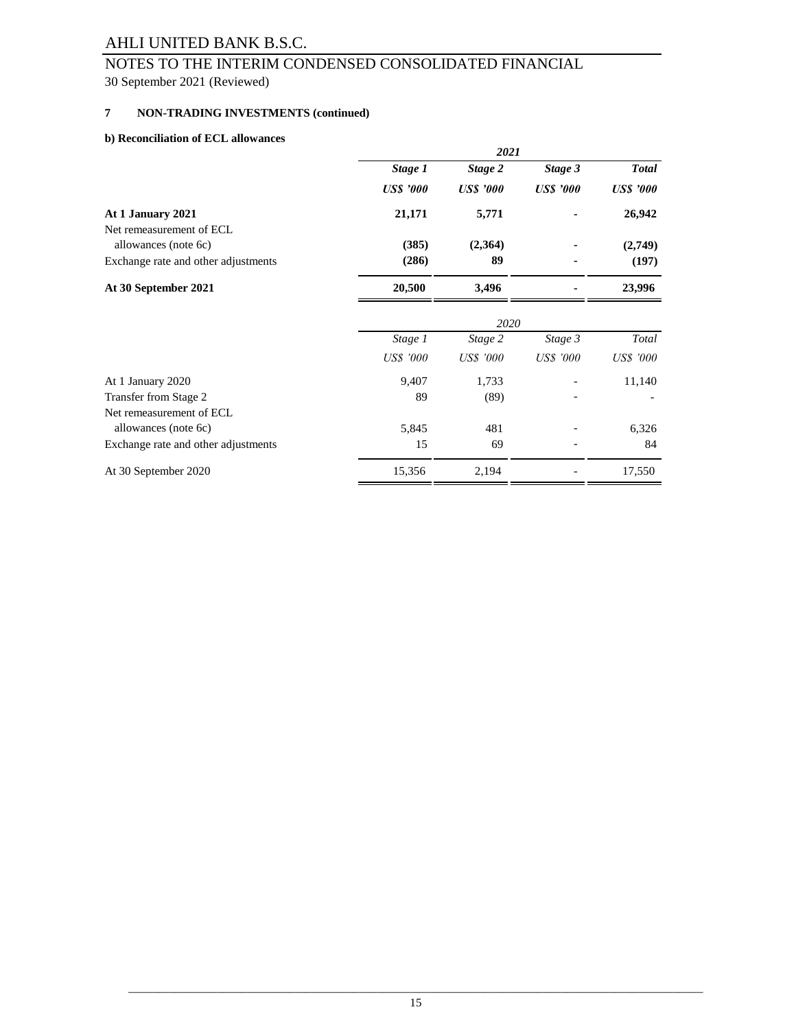## 30 September 2021 (Reviewed) NOTES TO THE INTERIM CONDENSED CONSOLIDATED FINANCIAL

#### **7 NON-TRADING INVESTMENTS (continued)**

#### **b) Reconciliation of ECL allowances**

| reconcinution of ECE unowances      |                  | 2021             |                  |                  |
|-------------------------------------|------------------|------------------|------------------|------------------|
|                                     | Stage 1          | Stage 2          | Stage 3          | <b>Total</b>     |
|                                     | <b>US\$</b> '000 | <b>US\$</b> '000 | <b>US\$</b> '000 | <b>US\$</b> '000 |
| At 1 January 2021                   | 21,171           | 5,771            |                  | 26,942           |
| Net remeasurement of ECL            |                  |                  |                  |                  |
| allowances (note 6c)                | (385)            | (2,364)          |                  | (2,749)          |
| Exchange rate and other adjustments | (286)            | 89               |                  | (197)            |
| At 30 September 2021                | 20,500           | 3,496            |                  | 23,996           |
|                                     |                  | 2020             |                  |                  |
|                                     | Stage 1          | Stage 2          | Stage 3          | Total            |
|                                     | <b>US\$</b> '000 | <b>US\$</b> '000 | <b>US\$</b> '000 | <b>US\$</b> '000 |
| At 1 January 2020                   | 9,407            | 1,733            |                  | 11,140           |
| Transfer from Stage 2               | 89               | (89)             |                  |                  |
| Net remeasurement of ECL            |                  |                  |                  |                  |
| allowances (note 6c)                | 5,845            | 481              |                  | 6,326            |
| Exchange rate and other adjustments | 15               | 69               |                  | 84               |
| At 30 September 2020                | 15,356           | 2,194            |                  | 17,550           |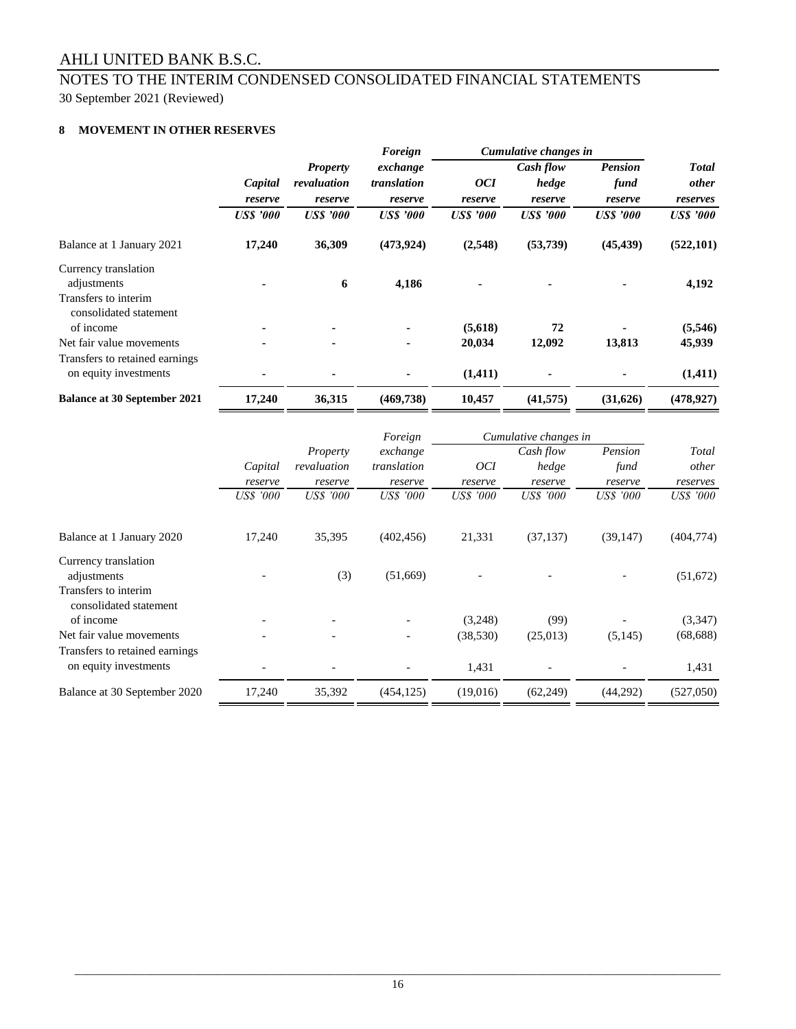## 30 September 2021 (Reviewed) NOTES TO THE INTERIM CONDENSED CONSOLIDATED FINANCIAL STATEMENTS

## **8 MOVEMENT IN OTHER RESERVES**

|                                                         |                  |                  | Foreign          |                  | Cumulative changes in |                  |                  |
|---------------------------------------------------------|------------------|------------------|------------------|------------------|-----------------------|------------------|------------------|
|                                                         |                  | <b>Property</b>  | exchange         |                  | Cash flow             | <b>Pension</b>   | <b>Total</b>     |
|                                                         | Capital          | revaluation      | translation      | <i>OCI</i>       | hedge                 | fund             | <i>other</i>     |
|                                                         | reserve          | reserve          | reserve          | reserve          | reserve               | reserve          | reserves         |
|                                                         | <b>US\$</b> '000 | <b>US\$</b> '000 | <b>US\$</b> '000 | <b>US\$</b> '000 | <b>US\$</b> '000      | <b>US\$</b> '000 | <b>US\$</b> '000 |
| Balance at 1 January 2021                               | 17,240           | 36,309           | (473, 924)       | (2,548)          | (53, 739)             | (45, 439)        | (522, 101)       |
| Currency translation                                    |                  |                  |                  |                  |                       |                  |                  |
| adjustments                                             |                  | 6                | 4,186            |                  | ۰                     |                  | 4,192            |
| Transfers to interim<br>consolidated statement          |                  |                  |                  |                  |                       |                  |                  |
| of income                                               |                  |                  |                  | (5,618)          | 72                    |                  | (5,546)          |
| Net fair value movements                                | ۰                | ٠                | $\blacksquare$   | 20,034           | 12,092                | 13,813           | 45,939           |
| Transfers to retained earnings<br>on equity investments |                  |                  |                  | (1,411)          | $\blacksquare$        |                  | (1, 411)         |
| <b>Balance at 30 September 2021</b>                     | 17,240           | 36,315           | (469, 738)       | 10,457           | (41, 575)             | (31,626)         | (478, 927)       |

|                                                         |           |                         | Foreign                 |                  | Cumulative changes in |                  |                  |
|---------------------------------------------------------|-----------|-------------------------|-------------------------|------------------|-----------------------|------------------|------------------|
|                                                         | Capital   | Property<br>revaluation | exchange<br>translation | <i>OCI</i>       | Cash flow<br>hedge    | Pension<br>fund  | Total<br>other   |
|                                                         | reserve   | reserve                 | reserve                 | reserve          | reserve               | reserve          | reserves         |
|                                                         | US\$ '000 | <b>US\$</b> '000        | <b>US\$</b> '000        | <b>US\$</b> '000 | <b>US\$</b> '000      | <b>US\$</b> '000 | <i>US\$ '000</i> |
| Balance at 1 January 2020                               | 17,240    | 35,395                  | (402, 456)              | 21,331           | (37, 137)             | (39, 147)        | (404, 774)       |
| Currency translation<br>adjustments                     |           | (3)                     | (51,669)                |                  |                       |                  | (51, 672)        |
| Transfers to interim<br>consolidated statement          |           |                         |                         |                  |                       |                  |                  |
| of income                                               |           |                         |                         | (3,248)          | (99)                  |                  | (3,347)          |
| Net fair value movements                                |           |                         |                         | (38, 530)        | (25,013)              | (5, 145)         | (68, 688)        |
| Transfers to retained earnings<br>on equity investments |           |                         |                         | 1,431            |                       |                  | 1,431            |
| Balance at 30 September 2020                            | 17,240    | 35,392                  | (454, 125)              | (19,016)         | (62, 249)             | (44,292)         | (527,050)        |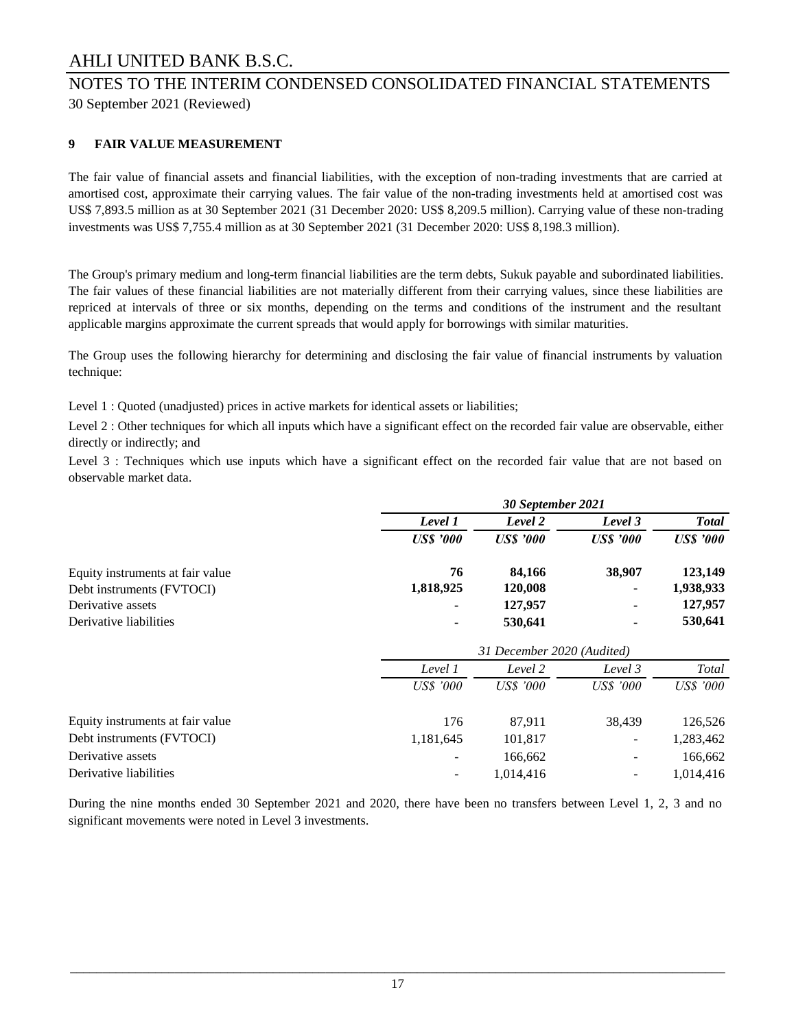# NOTES TO THE INTERIM CONDENSED CONSOLIDATED FINANCIAL STATEMENTS

30 September 2021 (Reviewed)

## **9 FAIR VALUE MEASUREMENT**

The fair value of financial assets and financial liabilities, with the exception of non-trading investments that are carried at amortised cost, approximate their carrying values. The fair value of the non-trading investments held at amortised cost was US\$ 7,893.5 million as at 30 September 2021 (31 December 2020: US\$ 8,209.5 million). Carrying value of these non-trading investments was US\$ 7,755.4 million as at 30 September 2021 (31 December 2020: US\$ 8,198.3 million).

The Group's primary medium and long-term financial liabilities are the term debts, Sukuk payable and subordinated liabilities. The fair values of these financial liabilities are not materially different from their carrying values, since these liabilities are repriced at intervals of three or six months, depending on the terms and conditions of the instrument and the resultant applicable margins approximate the current spreads that would apply for borrowings with similar maturities.

The Group uses the following hierarchy for determining and disclosing the fair value of financial instruments by valuation technique:

Level 1 : Quoted (unadjusted) prices in active markets for identical assets or liabilities;

Level 2 : Other techniques for which all inputs which have a significant effect on the recorded fair value are observable, either directly or indirectly; and

Level 3 : Techniques which use inputs which have a significant effect on the recorded fair value that are not based on observable market data.

|                                  | 30 September 2021 |                            |                          |                  |
|----------------------------------|-------------------|----------------------------|--------------------------|------------------|
|                                  | Level 1           | Level 2                    | Level 3                  | <b>Total</b>     |
|                                  | <b>US\$</b> '000  | <b>US\$</b> '000           | <b>US\$</b> '000         | <b>US\$</b> '000 |
| Equity instruments at fair value | 76                | 84,166                     | 38,907                   | 123,149          |
| Debt instruments (FVTOCI)        | 1,818,925         | 120,008                    |                          | 1,938,933        |
| Derivative assets                |                   | 127,957                    | ٠                        | 127,957          |
| Derivative liabilities           |                   | 530,641                    |                          | 530,641          |
|                                  |                   | 31 December 2020 (Audited) |                          |                  |
|                                  | Level 1           | Level 2                    | Level 3                  | Total            |
|                                  | <b>US\$</b> '000  | <b>US\$</b> '000           | <b>US\$</b> '000         | <b>US\$</b> '000 |
| Equity instruments at fair value | 176               | 87,911                     | 38,439                   | 126,526          |
| Debt instruments (FVTOCI)        | 1,181,645         | 101,817                    | $\overline{\phantom{a}}$ | 1,283,462        |
| Derivative assets                |                   | 166,662                    |                          | 166,662          |
| Derivative liabilities           |                   | 1,014,416                  |                          | 1,014,416        |

During the nine months ended 30 September 2021 and 2020, there have been no transfers between Level 1, 2, 3 and no significant movements were noted in Level 3 investments.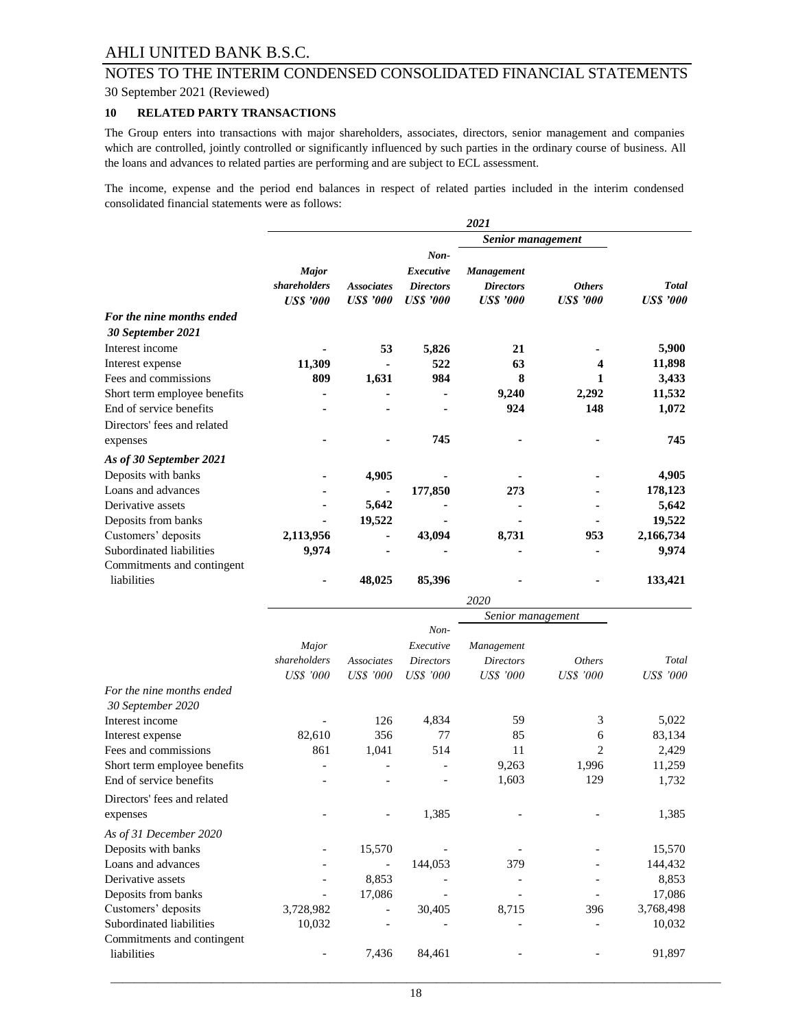## 30 September 2021 (Reviewed) NOTES TO THE INTERIM CONDENSED CONSOLIDATED FINANCIAL STATEMENTS

#### **10 RELATED PARTY TRANSACTIONS**

The Group enters into transactions with major shareholders, associates, directors, senior management and companies which are controlled, jointly controlled or significantly influenced by such parties in the ordinary course of business. All the loans and advances to related parties are performing and are subject to ECL assessment.

The income, expense and the period end balances in respect of related parties included in the interim condensed consolidated financial statements were as follows:

|                              |                  |                   |                  | 2021              |                  |                  |
|------------------------------|------------------|-------------------|------------------|-------------------|------------------|------------------|
|                              |                  |                   |                  | Senior management |                  |                  |
|                              |                  |                   | $Non-$           |                   |                  |                  |
|                              | <b>Major</b>     |                   | Executive        | <b>Management</b> |                  |                  |
|                              | shareholders     | <b>Associates</b> | <b>Directors</b> | <b>Directors</b>  | <b>Others</b>    | <b>Total</b>     |
|                              | <b>US\$</b> '000 | <b>US\$</b> '000  | <b>US\$</b> '000 | <b>US\$</b> '000  | <b>US\$</b> '000 | <b>US\$</b> '000 |
| For the nine months ended    |                  |                   |                  |                   |                  |                  |
| 30 September 2021            |                  |                   |                  |                   |                  |                  |
| Interest income              |                  | 53                | 5,826            | 21                |                  | 5,900            |
| Interest expense             | 11,309           |                   | 522              | 63                | 4                | 11,898           |
| Fees and commissions         | 809              | 1,631             | 984              | 8                 |                  | 3,433            |
| Short term employee benefits |                  |                   |                  | 9,240             | 2,292            | 11,532           |
| End of service benefits      |                  |                   |                  | 924               | 148              | 1,072            |
| Directors' fees and related  |                  |                   |                  |                   |                  |                  |
| expenses                     |                  |                   | 745              |                   |                  | 745              |
| As of 30 September 2021      |                  |                   |                  |                   |                  |                  |
| Deposits with banks          |                  | 4,905             |                  |                   |                  | 4,905            |
| Loans and advances           |                  |                   | 177,850          | 273               |                  | 178,123          |
| Derivative assets            |                  | 5,642             |                  |                   |                  | 5,642            |
| Deposits from banks          |                  | 19,522            |                  |                   |                  | 19,522           |
| Customers' deposits          | 2,113,956        | ۰                 | 43,094           | 8,731             | 953              | 2,166,734        |
| Subordinated liabilities     | 9,974            |                   |                  |                   |                  | 9,974            |
| Commitments and contingent   |                  |                   |                  |                   |                  |                  |
| liabilities                  |                  | 48,025            | 85,396           |                   |                  | 133,421          |

|                              |                  |                   |                  | 2020              |                  |                  |
|------------------------------|------------------|-------------------|------------------|-------------------|------------------|------------------|
|                              |                  |                   |                  | Senior management |                  |                  |
|                              |                  |                   | Non-             |                   |                  |                  |
|                              | Major            |                   | Executive        | Management        |                  |                  |
|                              | shareholders     | <b>Associates</b> | <b>Directors</b> | <b>Directors</b>  | <b>Others</b>    | Total            |
|                              | <b>US\$</b> '000 | <b>US\$</b> '000  | <b>US\$</b> '000 | <b>US\$</b> '000  | <b>US\$</b> '000 | <b>US\$</b> '000 |
| For the nine months ended    |                  |                   |                  |                   |                  |                  |
| 30 September 2020            |                  |                   |                  |                   |                  |                  |
| Interest income              |                  | 126               | 4,834            | 59                | 3                | 5,022            |
| Interest expense             | 82,610           | 356               | 77               | 85                | 6                | 83,134           |
| Fees and commissions         | 861              | 1,041             | 514              | 11                | 2                | 2,429            |
| Short term employee benefits |                  |                   |                  | 9,263             | 1,996            | 11,259           |
| End of service benefits      |                  |                   |                  | 1,603             | 129              | 1,732            |
| Directors' fees and related  |                  |                   |                  |                   |                  |                  |
| expenses                     |                  |                   | 1,385            |                   |                  | 1,385            |
| As of 31 December 2020       |                  |                   |                  |                   |                  |                  |
| Deposits with banks          |                  | 15,570            |                  |                   |                  | 15,570           |
| Loans and advances           |                  |                   | 144,053          | 379               |                  | 144,432          |
| Derivative assets            |                  | 8,853             |                  |                   |                  | 8,853            |
| Deposits from banks          |                  | 17,086            |                  |                   |                  | 17,086           |
| Customers' deposits          | 3,728,982        |                   | 30,405           | 8,715             | 396              | 3,768,498        |
| Subordinated liabilities     | 10,032           |                   |                  |                   |                  | 10,032           |
| Commitments and contingent   |                  |                   |                  |                   |                  |                  |
| liabilities                  |                  | 7,436             | 84,461           |                   |                  | 91,897           |
|                              |                  |                   |                  |                   |                  |                  |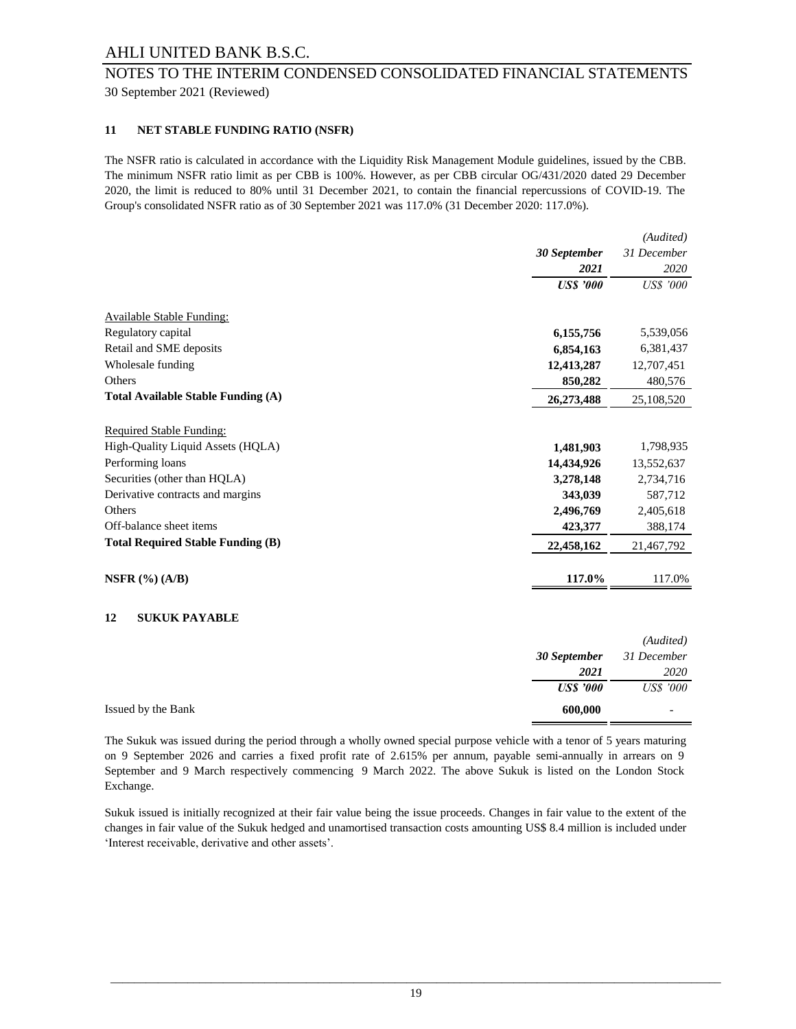## 30 September 2021 (Reviewed) NOTES TO THE INTERIM CONDENSED CONSOLIDATED FINANCIAL STATEMENTS

#### **11 NET STABLE FUNDING RATIO (NSFR)**

The NSFR ratio is calculated in accordance with the Liquidity Risk Management Module guidelines, issued by the CBB. The minimum NSFR ratio limit as per CBB is 100%. However, as per CBB circular OG/431/2020 dated 29 December 2020, the limit is reduced to 80% until 31 December 2021, to contain the financial repercussions of COVID-19. The Group's consolidated NSFR ratio as of 30 September 2021 was 117.0% (31 December 2020: 117.0%).

|                                           |                  | (Audited)        |
|-------------------------------------------|------------------|------------------|
|                                           | 30 September     | 31 December      |
|                                           | 2021             | 2020             |
|                                           | <b>US\$</b> '000 | <b>US\$</b> '000 |
| <b>Available Stable Funding:</b>          |                  |                  |
| Regulatory capital                        | 6,155,756        | 5,539,056        |
| Retail and SME deposits                   | 6,854,163        | 6,381,437        |
| Wholesale funding                         | 12,413,287       | 12,707,451       |
| Others                                    | 850,282          | 480,576          |
| <b>Total Available Stable Funding (A)</b> | 26,273,488       | 25,108,520       |
| <b>Required Stable Funding:</b>           |                  |                  |
| High-Quality Liquid Assets (HQLA)         | 1,481,903        | 1,798,935        |
| Performing loans                          | 14,434,926       | 13,552,637       |
| Securities (other than HQLA)              | 3,278,148        | 2,734,716        |
| Derivative contracts and margins          | 343,039          | 587,712          |
| Others                                    | 2,496,769        | 2,405,618        |
| Off-balance sheet items                   | 423,377          | 388,174          |
| <b>Total Required Stable Funding (B)</b>  | 22,458,162       | 21,467,792       |
| NSFR $(%) (A/B)$                          | 117.0%           | 117.0%           |

#### **12 SUKUK PAYABLE**

|                    |                  | (Audited)        |
|--------------------|------------------|------------------|
|                    | 30 September     | 31 December      |
|                    | 2021             | 2020             |
|                    | <b>US\$</b> '000 | <i>US\$ '000</i> |
| Issued by the Bank | 600,000          |                  |

The Sukuk was issued during the period through a wholly owned special purpose vehicle with a tenor of 5 years maturing on 9 September 2026 and carries a fixed profit rate of 2.615% per annum, payable semi-annually in arrears on 9 September and 9 March respectively commencing 9 March 2022. The above Sukuk is listed on the London Stock Exchange.

Sukuk issued is initially recognized at their fair value being the issue proceeds. Changes in fair value to the extent of the changes in fair value of the Sukuk hedged and unamortised transaction costs amounting US\$ 8.4 million is included under 'Interest receivable, derivative and other assets'.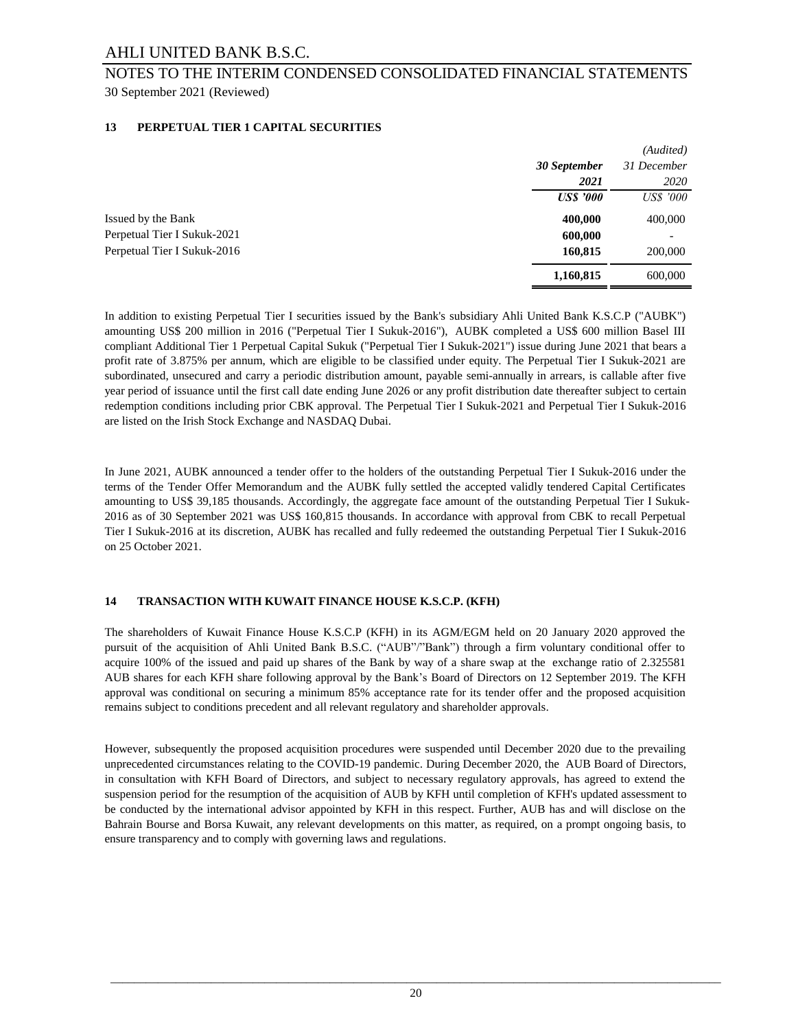## 30 September 2021 (Reviewed) NOTES TO THE INTERIM CONDENSED CONSOLIDATED FINANCIAL STATEMENTS

#### **13 PERPETUAL TIER 1 CAPITAL SECURITIES**

|                             |                  | (Audited)        |
|-----------------------------|------------------|------------------|
|                             | 30 September     | 31 December      |
|                             | 2021             | 2020             |
|                             | <b>US\$</b> '000 | <b>US\$</b> '000 |
| Issued by the Bank          | 400,000          | 400,000          |
| Perpetual Tier I Sukuk-2021 | 600,000          |                  |
| Perpetual Tier I Sukuk-2016 | 160,815          | 200,000          |
|                             | 1,160,815        | 600,000          |

In addition to existing Perpetual Tier I securities issued by the Bank's subsidiary Ahli United Bank K.S.C.P ("AUBK") amounting US\$ 200 million in 2016 ("Perpetual Tier I Sukuk-2016"), AUBK completed a US\$ 600 million Basel III compliant Additional Tier 1 Perpetual Capital Sukuk ("Perpetual Tier I Sukuk-2021") issue during June 2021 that bears a profit rate of 3.875% per annum, which are eligible to be classified under equity. The Perpetual Tier I Sukuk-2021 are subordinated, unsecured and carry a periodic distribution amount, payable semi-annually in arrears, is callable after five year period of issuance until the first call date ending June 2026 or any profit distribution date thereafter subject to certain redemption conditions including prior CBK approval. The Perpetual Tier I Sukuk-2021 and Perpetual Tier I Sukuk-2016 are listed on the Irish Stock Exchange and NASDAQ Dubai.

In June 2021, AUBK announced a tender offer to the holders of the outstanding Perpetual Tier I Sukuk-2016 under the terms of the Tender Offer Memorandum and the AUBK fully settled the accepted validly tendered Capital Certificates amounting to US\$ 39,185 thousands. Accordingly, the aggregate face amount of the outstanding Perpetual Tier I Sukuk-2016 as of 30 September 2021 was US\$ 160,815 thousands. In accordance with approval from CBK to recall Perpetual Tier I Sukuk-2016 at its discretion, AUBK has recalled and fully redeemed the outstanding Perpetual Tier I Sukuk-2016 on 25 October 2021.

#### **14 TRANSACTION WITH KUWAIT FINANCE HOUSE K.S.C.P. (KFH)**

The shareholders of Kuwait Finance House K.S.C.P (KFH) in its AGM/EGM held on 20 January 2020 approved the pursuit of the acquisition of Ahli United Bank B.S.C. ("AUB"/"Bank") through a firm voluntary conditional offer to acquire 100% of the issued and paid up shares of the Bank by way of a share swap at the exchange ratio of 2.325581 AUB shares for each KFH share following approval by the Bank's Board of Directors on 12 September 2019. The KFH approval was conditional on securing a minimum 85% acceptance rate for its tender offer and the proposed acquisition remains subject to conditions precedent and all relevant regulatory and shareholder approvals.

However, subsequently the proposed acquisition procedures were suspended until December 2020 due to the prevailing unprecedented circumstances relating to the COVID-19 pandemic. During December 2020, the AUB Board of Directors, in consultation with KFH Board of Directors, and subject to necessary regulatory approvals, has agreed to extend the suspension period for the resumption of the acquisition of AUB by KFH until completion of KFH's updated assessment to be conducted by the international advisor appointed by KFH in this respect. Further, AUB has and will disclose on the Bahrain Bourse and Borsa Kuwait, any relevant developments on this matter, as required, on a prompt ongoing basis, to ensure transparency and to comply with governing laws and regulations.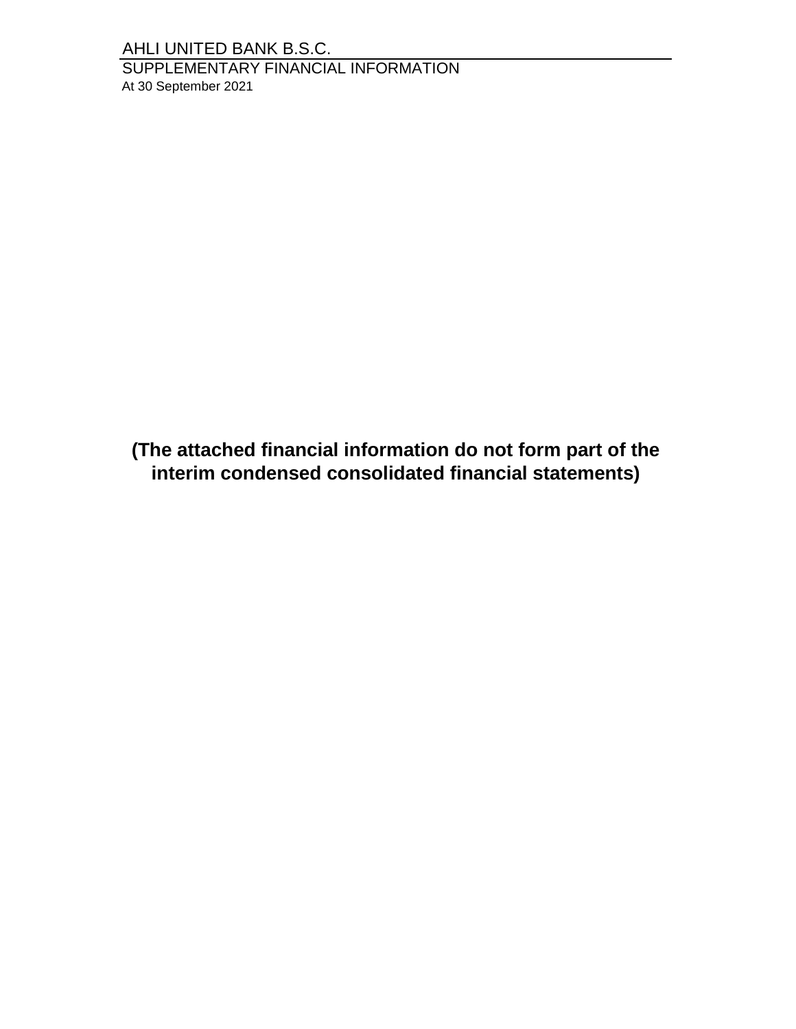SUPPLEMENTARY FINANCIAL INFORMATION At 30 September 2021

**(The attached financial information do not form part of the interim condensed consolidated financial statements)**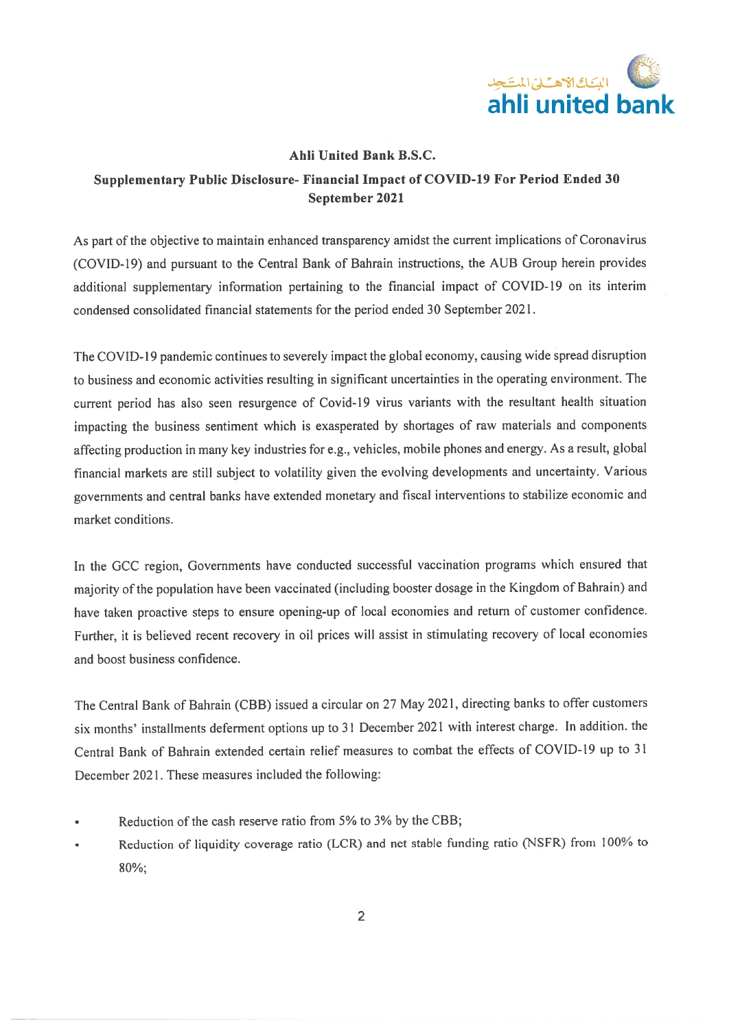

## Supplementary Public Disclosure- Financial Impact of COVID-19 For Period Ended 30 September 2021

As part of the objective to maintain enhanced transparency amidst the current implications of Coronavirus (COVID-19) and pursuant to the Central Bank of Bahrain instructions, the AUB Group herein provides additional supplementary information pertaining to the financial impact of COVID-19 on its interim condensed consolidated financial statements for the period ended 30 September 2021.

The COVID-19 pandemic continues to severely impact the global economy, causing wide spread disruption to business and economic activities resulting in significant uncertainties in the operating environment. The current period has also seen resurgence of Covid-19 virus variants with the resultant health situation impacting the business sentiment which is exasperated by shortages of raw materials and components affecting production in many key industries for e.g., vehicles, mobile phones and energy. As a result, global financial markets are still subject to volatility given the evolving developments and uncertainty. Various governments and central banks have extended monetary and fiscal interventions to stabilize economic and market conditions.

In the GCC region, Governments have conducted successful vaccination programs which ensured that majority of the population have been vaccinated (including booster dosage in the Kingdom of Bahrain) and have taken proactive steps to ensure opening-up of local economies and return of customer confidence. Further, it is believed recent recovery in oil prices will assist in stimulating recovery of local economies and boost business confidence.

The Central Bank of Bahrain (CBB) issued a circular on 27 May 2021, directing banks to offer customers six months' installments deferment options up to 31 December 2021 with interest charge. In addition. the Central Bank of Bahrain extended certain relief measures to combat the effects of COVID-19 up to 31 December 2021. These measures included the following:

- Reduction of the cash reserve ratio from 5% to 3% by the CBB;
- Reduction of liquidity coverage ratio (LCR) and net stable funding ratio (NSFR) from 100% to 80%;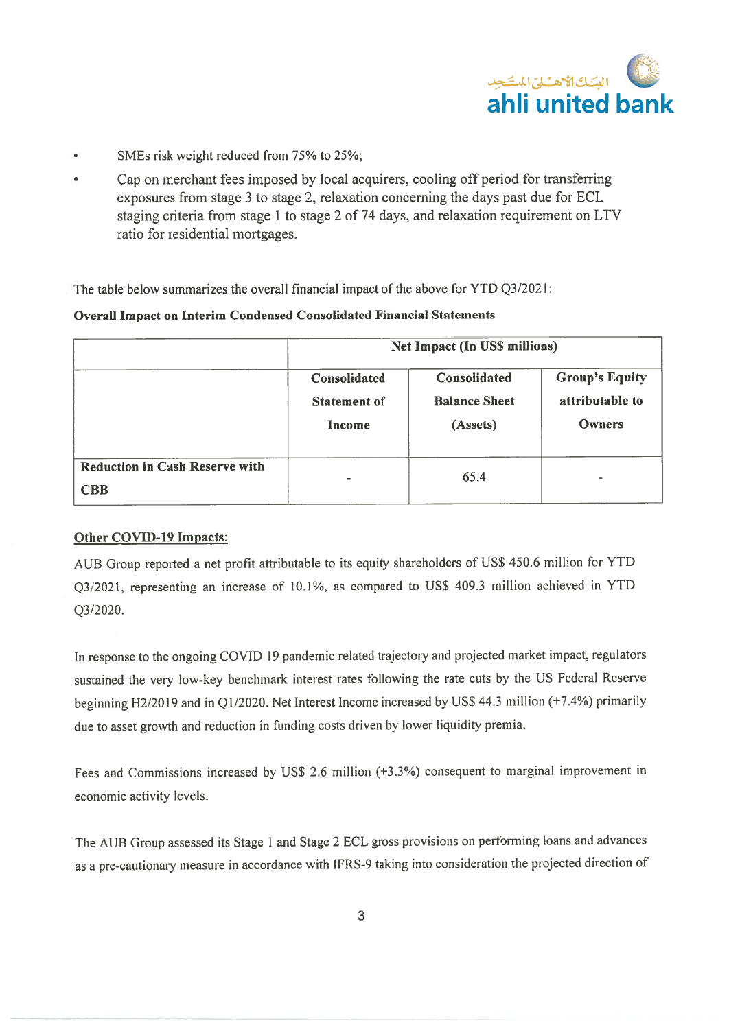

- SMEs risk weight reduced from 75% to 25%; .
- Cap on merchant fees imposed by local acquirers, cooling off period for transferring exposures from stage 3 to stage 2, relaxation concerning the days past due for ECL staging criteria from stage 1 to stage 2 of 74 days, and relaxation requirement on LTV ratio for residential mortgages.

The table below summarizes the overall financial impact of the above for YTD 03/2021:

## **Overall Impact on Interim Condensed Consolidated Financial Statements**

|                                                     | Net Impact (In US\$ millions)                 |                                                  |                                                    |  |
|-----------------------------------------------------|-----------------------------------------------|--------------------------------------------------|----------------------------------------------------|--|
|                                                     | Consolidated<br><b>Statement of</b><br>Income | Consolidated<br><b>Balance Sheet</b><br>(Assets) | <b>Group's Equity</b><br>attributable to<br>Owners |  |
| <b>Reduction in Cash Reserve with</b><br><b>CBB</b> |                                               | 65.4                                             | m.                                                 |  |

## Other COVID-19 Impacts:

AUB Group reported a net profit attributable to its equity shareholders of US\$ 450.6 million for YTD Q3/2021, representing an increase of 10.1%, as compared to US\$ 409.3 million achieved in YTD  $O3/2020$ .

In response to the ongoing COVID 19 pandemic related trajectory and projected market impact, regulators sustained the very low-key benchmark interest rates following the rate cuts by the US Federal Reserve beginning H2/2019 and in Q1/2020. Net Interest Income increased by US\$ 44.3 million (+7.4%) primarily due to asset growth and reduction in funding costs driven by lower liquidity premia.

Fees and Commissions increased by US\$ 2.6 million (+3.3%) consequent to marginal improvement in economic activity levels.

The AUB Group assessed its Stage 1 and Stage 2 ECL gross provisions on performing loans and advances as a pre-cautionary measure in accordance with IFRS-9 taking into consideration the projected direction of